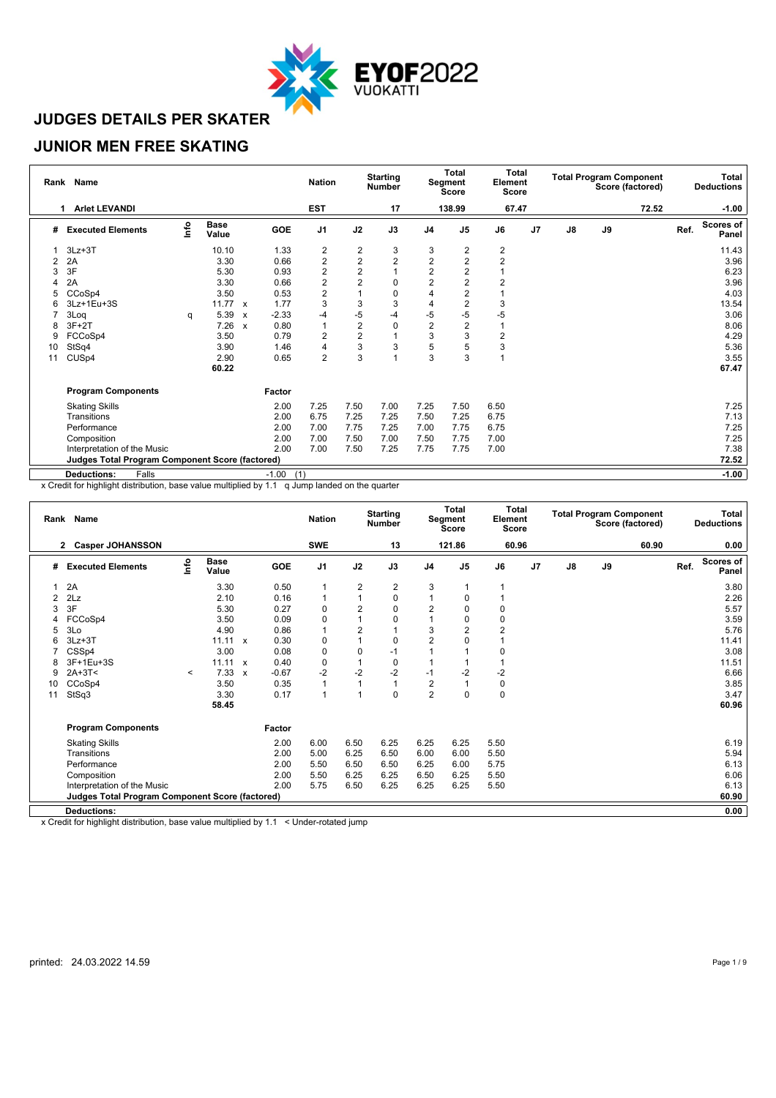

#### **JUNIOR MEN FREE SKATING**

| Rank | Name                                                   |      |                      |                           |                | <b>Nation</b>           |                  | <b>Starting</b><br><b>Number</b> |                | Total<br>Segment<br><b>Score</b> | <b>Total</b><br>Element<br>Score |                |               |    | <b>Total Program Component</b><br>Score (factored) |      | Total<br><b>Deductions</b> |
|------|--------------------------------------------------------|------|----------------------|---------------------------|----------------|-------------------------|------------------|----------------------------------|----------------|----------------------------------|----------------------------------|----------------|---------------|----|----------------------------------------------------|------|----------------------------|
|      | <b>Arlet LEVANDI</b>                                   |      |                      |                           |                | <b>EST</b>              |                  | 17                               |                | 138.99                           | 67.47                            |                |               |    | 72.52                                              |      | $-1.00$                    |
| #    | <b>Executed Elements</b>                               | Info | <b>Base</b><br>Value |                           | GOE            | J <sub>1</sub>          | J2               | J3                               | J <sub>4</sub> | J <sub>5</sub>                   | J6                               | J <sub>7</sub> | $\mathsf{J}8$ | J9 |                                                    | Ref. | <b>Scores of</b><br>Panel  |
|      | $3Lz + 3T$                                             |      | 10.10                |                           | 1.33           |                         | $\boldsymbol{2}$ | 3                                | 3              | 2                                | $\overline{\mathbf{c}}$          |                |               |    |                                                    |      | 11.43                      |
| 2    | 2A                                                     |      | 3.30                 |                           | 0.66           | $\frac{2}{2}$           | $\overline{a}$   | $\overline{2}$                   | $\overline{c}$ | $\overline{2}$                   | $\overline{2}$                   |                |               |    |                                                    |      | 3.96                       |
| 3    | 3F                                                     |      | 5.30                 |                           | 0.93           | $\overline{\mathbf{c}}$ | $\overline{2}$   |                                  | $\overline{2}$ | 2                                |                                  |                |               |    |                                                    |      | 6.23                       |
|      | 2A                                                     |      | 3.30                 |                           | 0.66           | $\overline{\mathbf{c}}$ | $\overline{2}$   | $\mathbf 0$                      | $\overline{2}$ | $\overline{2}$                   | $\overline{2}$                   |                |               |    |                                                    |      | 3.96                       |
| 5    | CCoSp4                                                 |      | 3.50                 |                           | 0.53           | $\overline{2}$          |                  | $\mathbf 0$                      | 4              | $\overline{2}$                   |                                  |                |               |    |                                                    |      | 4.03                       |
| 6    | 3Lz+1Eu+3S                                             |      | 11.77                | $\boldsymbol{\mathsf{x}}$ | 1.77           | 3                       | 3                | 3                                | 4              | 2                                | 3                                |                |               |    |                                                    |      | 13.54                      |
|      | 3Log                                                   | q    | 5.39                 | $\boldsymbol{\mathsf{x}}$ | $-2.33$        | $-4$                    | -5               | -4                               | $-5$           | -5                               | -5                               |                |               |    |                                                    |      | 3.06                       |
| 8    | $3F+2T$                                                |      | 7.26                 | $\boldsymbol{\mathsf{x}}$ | 0.80           | 1                       | $\overline{2}$   | $\mathbf 0$                      | $\overline{2}$ | 2                                |                                  |                |               |    |                                                    |      | 8.06                       |
| 9    | FCCoSp4                                                |      | 3.50                 |                           | 0.79           | 2                       | $\overline{2}$   |                                  | 3              | 3                                | $\overline{2}$                   |                |               |    |                                                    |      | 4.29                       |
| 10   | StSq4                                                  |      | 3.90                 |                           | 1.46           | 4                       | 3                | 3                                | 5              | 5                                | 3                                |                |               |    |                                                    |      | 5.36                       |
| 11   | CUS <sub>p4</sub>                                      |      | 2.90                 |                           | 0.65           | $\overline{2}$          | 3                |                                  | 3              | 3                                |                                  |                |               |    |                                                    |      | 3.55                       |
|      |                                                        |      | 60.22                |                           |                |                         |                  |                                  |                |                                  |                                  |                |               |    |                                                    |      | 67.47                      |
|      | <b>Program Components</b>                              |      |                      |                           | Factor         |                         |                  |                                  |                |                                  |                                  |                |               |    |                                                    |      |                            |
|      | <b>Skating Skills</b>                                  |      |                      |                           | 2.00           | 7.25                    | 7.50             | 7.00                             | 7.25           | 7.50                             | 6.50                             |                |               |    |                                                    |      | 7.25                       |
|      | Transitions                                            |      |                      |                           | 2.00           | 6.75                    | 7.25             | 7.25                             | 7.50           | 7.25                             | 6.75                             |                |               |    |                                                    |      | 7.13                       |
|      | Performance                                            |      |                      |                           | 2.00           | 7.00                    | 7.75             | 7.25                             | 7.00           | 7.75                             | 6.75                             |                |               |    |                                                    |      | 7.25                       |
|      | Composition                                            |      |                      |                           | 2.00           | 7.00                    | 7.50             | 7.00                             | 7.50           | 7.75                             | 7.00                             |                |               |    |                                                    |      | 7.25                       |
|      | Interpretation of the Music                            |      |                      |                           | 2.00           | 7.00                    | 7.50             | 7.25                             | 7.75           | 7.75                             | 7.00                             |                |               |    |                                                    |      | 7.38                       |
|      | <b>Judges Total Program Component Score (factored)</b> |      |                      |                           |                |                         |                  |                                  |                |                                  |                                  |                |               |    |                                                    |      | 72.52                      |
|      | <b>Deductions:</b><br>Falls                            |      |                      |                           | $-1.00$<br>(1) |                         |                  |                                  |                |                                  |                                  |                |               |    |                                                    |      | $-1.00$                    |

x Credit for highlight distribution, base value multiplied by 1.1 q Jump landed on the quarter

|    | Rank Name                                              |         |                      |              |         | <b>Nation</b>  |                | <b>Starting</b><br><b>Number</b> |                | Total<br>Segment<br><b>Score</b> | <b>Total</b><br>Element<br><b>Score</b> |    |               | <b>Total Program Component</b> | Score (factored) |      | Total<br><b>Deductions</b> |
|----|--------------------------------------------------------|---------|----------------------|--------------|---------|----------------|----------------|----------------------------------|----------------|----------------------------------|-----------------------------------------|----|---------------|--------------------------------|------------------|------|----------------------------|
|    | <b>Casper JOHANSSON</b><br>$\mathbf{2}$                |         |                      |              |         | <b>SWE</b>     |                | 13                               |                | 121.86                           | 60.96                                   |    |               |                                | 60.90            |      | 0.00                       |
| #  | <b>Executed Elements</b>                               | Info    | <b>Base</b><br>Value |              | GOE     | J <sub>1</sub> | J2             | J3                               | J4             | J <sub>5</sub>                   | J6                                      | J7 | $\mathsf{J}8$ | J9                             |                  | Ref. | <b>Scores of</b><br>Panel  |
|    | 2A                                                     |         | 3.30                 |              | 0.50    | $\mathbf{1}$   | $\overline{2}$ | 2                                | 3              |                                  |                                         |    |               |                                |                  |      | 3.80                       |
|    | 2Lz                                                    |         | 2.10                 |              | 0.16    | 1              | $\overline{1}$ | 0                                |                | 0                                |                                         |    |               |                                |                  |      | 2.26                       |
| 3  | 3F                                                     |         | 5.30                 |              | 0.27    | 0              | 2              | 0                                | $\sqrt{2}$     | $\Omega$                         | 0                                       |    |               |                                |                  |      | 5.57                       |
| 4  | FCCoSp4                                                |         | 3.50                 |              | 0.09    | $\mathbf 0$    | 1              | 0                                |                | $\Omega$                         | 0                                       |    |               |                                |                  |      | 3.59                       |
|    | 3Lo                                                    |         | 4.90                 |              | 0.86    | 1              | $\overline{2}$ |                                  | 3              | 2                                | $\overline{2}$                          |    |               |                                |                  |      | 5.76                       |
| 6  | $3Lz + 3T$                                             |         | $11.11 \times$       |              | 0.30    | 0              | 1              | 0                                | $\overline{2}$ |                                  |                                         |    |               |                                |                  |      | 11.41                      |
|    | CSSp4                                                  |         | 3.00                 |              | 0.08    | 0              | $\pmb{0}$      | $-1$                             |                |                                  | 0                                       |    |               |                                |                  |      | 3.08                       |
|    | 3F+1Eu+3S                                              |         | 11.11 x              |              | 0.40    | $\mathbf 0$    | 1              | $\mathbf 0$                      |                |                                  |                                         |    |               |                                |                  |      | 11.51                      |
| 9  | $2A+3T<$                                               | $\prec$ | 7.33                 | $\mathbf{x}$ | $-0.67$ | $-2$           | $-2$           | $-2$                             | $-1$           | $-2$                             | $-2$                                    |    |               |                                |                  |      | 6.66                       |
| 10 | CCoSp4                                                 |         | 3.50                 |              | 0.35    | 1              | 1              |                                  | $\overline{2}$ |                                  | 0                                       |    |               |                                |                  |      | 3.85                       |
| 11 | StSq3                                                  |         | 3.30                 |              | 0.17    | 1              | 1              | 0                                | $\overline{2}$ | $\mathbf 0$                      | $\mathbf 0$                             |    |               |                                |                  |      | 3.47                       |
|    |                                                        |         | 58.45                |              |         |                |                |                                  |                |                                  |                                         |    |               |                                |                  |      | 60.96                      |
|    | <b>Program Components</b>                              |         |                      |              | Factor  |                |                |                                  |                |                                  |                                         |    |               |                                |                  |      |                            |
|    | <b>Skating Skills</b>                                  |         |                      |              | 2.00    | 6.00           | 6.50           | 6.25                             | 6.25           | 6.25                             | 5.50                                    |    |               |                                |                  |      | 6.19                       |
|    | Transitions                                            |         |                      |              | 2.00    | 5.00           | 6.25           | 6.50                             | 6.00           | 6.00                             | 5.50                                    |    |               |                                |                  |      | 5.94                       |
|    | Performance                                            |         |                      |              | 2.00    | 5.50           | 6.50           | 6.50                             | 6.25           | 6.00                             | 5.75                                    |    |               |                                |                  |      | 6.13                       |
|    | Composition                                            |         |                      |              | 2.00    | 5.50           | 6.25           | 6.25                             | 6.50           | 6.25                             | 5.50                                    |    |               |                                |                  |      | 6.06                       |
|    | Interpretation of the Music                            |         |                      |              | 2.00    | 5.75           | 6.50           | 6.25                             | 6.25           | 6.25                             | 5.50                                    |    |               |                                |                  |      | 6.13                       |
|    | <b>Judges Total Program Component Score (factored)</b> |         |                      |              |         |                |                |                                  |                |                                  |                                         |    |               |                                |                  |      | 60.90                      |
|    | <b>Deductions:</b>                                     |         |                      |              |         |                |                |                                  |                |                                  |                                         |    |               |                                |                  |      | 0.00                       |
|    |                                                        |         |                      |              |         |                |                |                                  |                |                                  |                                         |    |               |                                |                  |      |                            |

x Credit for highlight distribution, base value multiplied by 1.1 < Under-rotated jump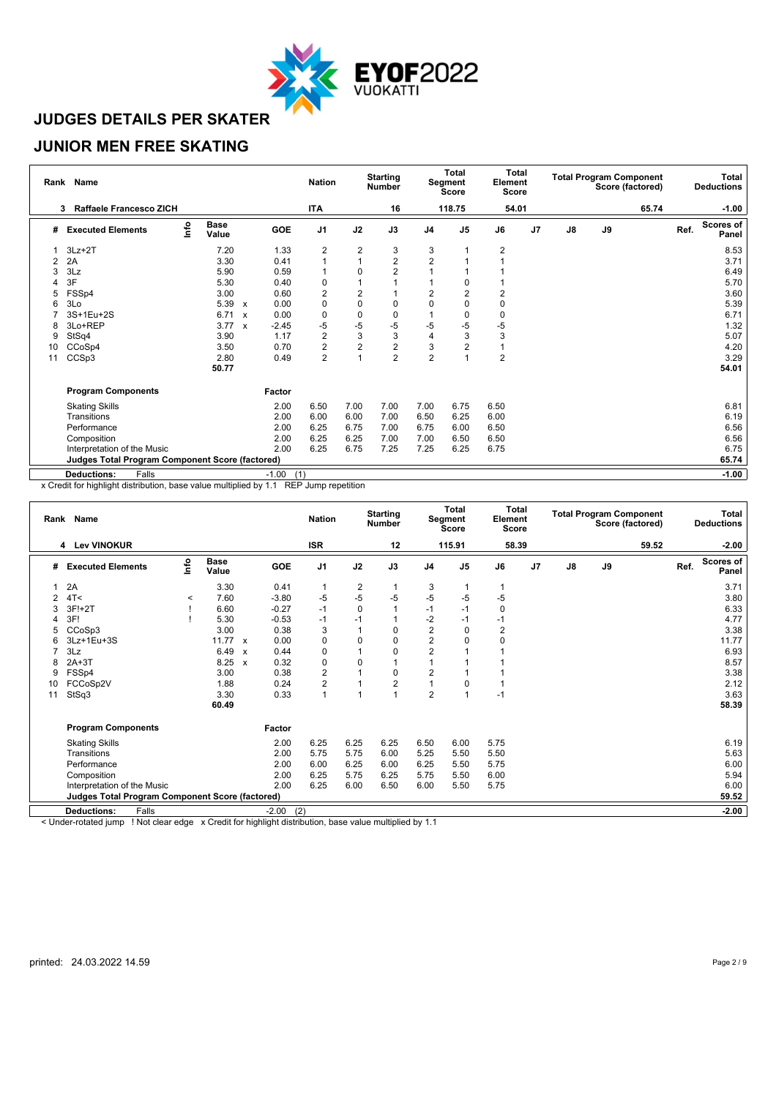

### **JUNIOR MEN FREE SKATING**

| Rank | Name                                                   |      |                      |                           |                | <b>Nation</b>  |                | <b>Starting</b><br><b>Number</b> |                | Total<br>Segment<br><b>Score</b> | <b>Total</b><br>Element<br>Score |                |               |    | <b>Total Program Component</b><br>Score (factored) |      | Total<br><b>Deductions</b> |
|------|--------------------------------------------------------|------|----------------------|---------------------------|----------------|----------------|----------------|----------------------------------|----------------|----------------------------------|----------------------------------|----------------|---------------|----|----------------------------------------------------|------|----------------------------|
|      | Raffaele Francesco ZICH<br>3                           |      |                      |                           |                | <b>ITA</b>     |                | 16                               |                | 118.75                           | 54.01                            |                |               |    | 65.74                                              |      | $-1.00$                    |
| #    | <b>Executed Elements</b>                               | lnfo | <b>Base</b><br>Value |                           | GOE            | J <sub>1</sub> | J2             | J3                               | J <sub>4</sub> | J <sub>5</sub>                   | J6                               | J <sub>7</sub> | $\mathsf{J}8$ | J9 |                                                    | Ref. | <b>Scores of</b><br>Panel  |
|      | $3Lz + 2T$                                             |      | 7.20                 |                           | 1.33           | 2              | $\overline{2}$ | 3                                | 3              |                                  | $\overline{\mathbf{c}}$          |                |               |    |                                                    |      | 8.53                       |
| 2    | 2A                                                     |      | 3.30                 |                           | 0.41           | $\overline{1}$ |                | $\overline{2}$                   | $\overline{2}$ |                                  |                                  |                |               |    |                                                    |      | 3.71                       |
|      | 3Lz                                                    |      | 5.90                 |                           | 0.59           | $\mathbf{1}$   | $\Omega$       | $\overline{2}$                   |                |                                  |                                  |                |               |    |                                                    |      | 6.49                       |
|      | 3F                                                     |      | 5.30                 |                           | 0.40           | 0              |                |                                  |                |                                  |                                  |                |               |    |                                                    |      | 5.70                       |
| 5    | FSSp4                                                  |      | 3.00                 |                           | 0.60           | $\overline{2}$ | $\overline{2}$ |                                  | $\overline{2}$ | 2                                | $\overline{2}$                   |                |               |    |                                                    |      | 3.60                       |
| 6    | 3Lo                                                    |      | 5.39                 | $\boldsymbol{\mathsf{x}}$ | 0.00           | 0              | $\mathbf 0$    | 0                                | 0              |                                  | 0                                |                |               |    |                                                    |      | 5.39                       |
|      | 3S+1Eu+2S                                              |      | 6.71                 | $\boldsymbol{\mathsf{x}}$ | 0.00           | 0              | $\mathbf 0$    | 0                                |                |                                  | 0                                |                |               |    |                                                    |      | 6.71                       |
| 8    | 3Lo+REP                                                |      | 3.77                 | $\boldsymbol{\mathsf{x}}$ | $-2.45$        | $-5$           | -5             | $-5$                             | -5             | -5                               | $-5$                             |                |               |    |                                                    |      | 1.32                       |
| 9    | StSq4                                                  |      | 3.90                 |                           | 1.17           | 2              | $\mathsf 3$    | 3                                | 4              | 3                                | 3                                |                |               |    |                                                    |      | 5.07                       |
| 10   | CCoSp4                                                 |      | 3.50                 |                           | 0.70           | 2              | $\overline{2}$ | $\overline{2}$                   | 3              | $\overline{2}$                   |                                  |                |               |    |                                                    |      | 4.20                       |
| 11   | CCSp3                                                  |      | 2.80                 |                           | 0.49           | 2              |                | $\overline{2}$                   | $\overline{2}$ |                                  | $\overline{2}$                   |                |               |    |                                                    |      | 3.29                       |
|      |                                                        |      | 50.77                |                           |                |                |                |                                  |                |                                  |                                  |                |               |    |                                                    |      | 54.01                      |
|      | <b>Program Components</b>                              |      |                      |                           | Factor         |                |                |                                  |                |                                  |                                  |                |               |    |                                                    |      |                            |
|      | <b>Skating Skills</b>                                  |      |                      |                           | 2.00           | 6.50           | 7.00           | 7.00                             | 7.00           | 6.75                             | 6.50                             |                |               |    |                                                    |      | 6.81                       |
|      | Transitions                                            |      |                      |                           | 2.00           | 6.00           | 6.00           | 7.00                             | 6.50           | 6.25                             | 6.00                             |                |               |    |                                                    |      | 6.19                       |
|      | Performance                                            |      |                      |                           | 2.00           | 6.25           | 6.75           | 7.00                             | 6.75           | 6.00                             | 6.50                             |                |               |    |                                                    |      | 6.56                       |
|      | Composition                                            |      |                      |                           | 2.00           | 6.25           | 6.25           | 7.00                             | 7.00           | 6.50                             | 6.50                             |                |               |    |                                                    |      | 6.56                       |
|      | Interpretation of the Music                            |      |                      |                           | 2.00           | 6.25           | 6.75           | 7.25                             | 7.25           | 6.25                             | 6.75                             |                |               |    |                                                    |      | 6.75                       |
|      | <b>Judges Total Program Component Score (factored)</b> |      |                      |                           |                |                |                |                                  |                |                                  |                                  |                |               |    |                                                    |      | 65.74                      |
|      | Falls<br><b>Deductions:</b>                            |      |                      |                           | (1)<br>$-1.00$ |                |                |                                  |                |                                  |                                  |                |               |    |                                                    |      | $-1.00$                    |

x Credit for highlight distribution, base value multiplied by 1.1 REP Jump repetition

|    | Rank Name                                       |         |                      |              |                | <b>Nation</b>  |             | <b>Starting</b><br><b>Number</b> |                | <b>Total</b><br>Segment<br><b>Score</b> | Total<br>Element<br>Score |                |               |    | <b>Total Program Component</b><br>Score (factored) |      | Total<br><b>Deductions</b> |
|----|-------------------------------------------------|---------|----------------------|--------------|----------------|----------------|-------------|----------------------------------|----------------|-----------------------------------------|---------------------------|----------------|---------------|----|----------------------------------------------------|------|----------------------------|
|    | 4 Lev VINOKUR                                   |         |                      |              |                | <b>ISR</b>     |             | 12                               |                | 115.91                                  | 58.39                     |                |               |    | 59.52                                              |      | $-2.00$                    |
| #  | <b>Executed Elements</b>                        | Info    | <b>Base</b><br>Value |              | <b>GOE</b>     | J <sub>1</sub> | J2          | J3                               | J <sub>4</sub> | J <sub>5</sub>                          | J6                        | J <sub>7</sub> | $\mathsf{J}8$ | J9 |                                                    | Ref. | <b>Scores of</b><br>Panel  |
|    | 2A                                              |         | 3.30                 |              | 0.41           | $\overline{1}$ | 2           |                                  | 3              | $\mathbf{1}$                            | $\mathbf 1$               |                |               |    |                                                    |      | 3.71                       |
|    | 4T<                                             | $\,<\,$ | 7.60                 |              | $-3.80$        | $-5$           | $-5$        | -5                               | -5             | $-5$                                    | $-5$                      |                |               |    |                                                    |      | 3.80                       |
| 3  | 3F!+2T                                          |         | 6.60                 |              | $-0.27$        | $-1$           | $\mathbf 0$ |                                  | $-1$           | $-1$                                    | 0                         |                |               |    |                                                    |      | 6.33                       |
| Δ  | 3F!                                             |         | 5.30                 |              | $-0.53$        | $-1$           | $-1$        |                                  | $-2$           | $-1$                                    | $-1$                      |                |               |    |                                                    |      | 4.77                       |
|    | CCoSp3                                          |         | 3.00                 |              | 0.38           | 3              |             | $\mathbf 0$                      | $\overline{2}$ | 0                                       | $\overline{2}$            |                |               |    |                                                    |      | 3.38                       |
| 6  | 3Lz+1Eu+3S                                      |         | $11.77 \times$       |              | 0.00           | $\mathbf 0$    | 0           | 0                                | $\overline{2}$ | $\Omega$                                | $\Omega$                  |                |               |    |                                                    |      | 11.77                      |
|    | 3Lz                                             |         | 6.49                 | $\mathsf{x}$ | 0.44           | 0              |             | 0                                | 2              |                                         |                           |                |               |    |                                                    |      | 6.93                       |
| 8  | $2A+3T$                                         |         | 8.25                 | $\mathsf{x}$ | 0.32           | $\mathbf 0$    | $\mathbf 0$ |                                  |                |                                         |                           |                |               |    |                                                    |      | 8.57                       |
| 9  | FSSp4                                           |         | 3.00                 |              | 0.38           | 2              |             | $\mathbf 0$                      | $\overline{2}$ |                                         |                           |                |               |    |                                                    |      | 3.38                       |
| 10 | FCCoSp2V                                        |         | 1.88                 |              | 0.24           | 2              |             | $\overline{2}$                   | 1              | 0                                       |                           |                |               |    |                                                    |      | 2.12                       |
| 11 | StSq3                                           |         | 3.30                 |              | 0.33           | 1              |             |                                  | $\overline{2}$ | $\overline{1}$                          | $-1$                      |                |               |    |                                                    |      | 3.63                       |
|    |                                                 |         | 60.49                |              |                |                |             |                                  |                |                                         |                           |                |               |    |                                                    |      | 58.39                      |
|    | <b>Program Components</b>                       |         |                      |              | Factor         |                |             |                                  |                |                                         |                           |                |               |    |                                                    |      |                            |
|    | <b>Skating Skills</b>                           |         |                      |              | 2.00           | 6.25           | 6.25        | 6.25                             | 6.50           | 6.00                                    | 5.75                      |                |               |    |                                                    |      | 6.19                       |
|    | Transitions                                     |         |                      |              | 2.00           | 5.75           | 5.75        | 6.00                             | 5.25           | 5.50                                    | 5.50                      |                |               |    |                                                    |      | 5.63                       |
|    | Performance                                     |         |                      |              | 2.00           | 6.00           | 6.25        | 6.00                             | 6.25           | 5.50                                    | 5.75                      |                |               |    |                                                    |      | 6.00                       |
|    | Composition                                     |         |                      |              | 2.00           | 6.25           | 5.75        | 6.25                             | 5.75           | 5.50                                    | 6.00                      |                |               |    |                                                    |      | 5.94                       |
|    | Interpretation of the Music                     |         |                      |              | 2.00           | 6.25           | 6.00        | 6.50                             | 6.00           | 5.50                                    | 5.75                      |                |               |    |                                                    |      | 6.00                       |
|    | Judges Total Program Component Score (factored) |         |                      |              |                |                |             |                                  |                |                                         |                           |                |               |    |                                                    |      | 59.52                      |
|    | Falls<br><b>Deductions:</b>                     |         |                      |              | (2)<br>$-2.00$ |                |             |                                  |                |                                         |                           |                |               |    |                                                    |      | $-2.00$                    |
|    |                                                 |         |                      |              |                |                |             |                                  |                |                                         |                           |                |               |    |                                                    |      |                            |

< Under-rotated jump ! Not clear edge x Credit for highlight distribution, base value multiplied by 1.1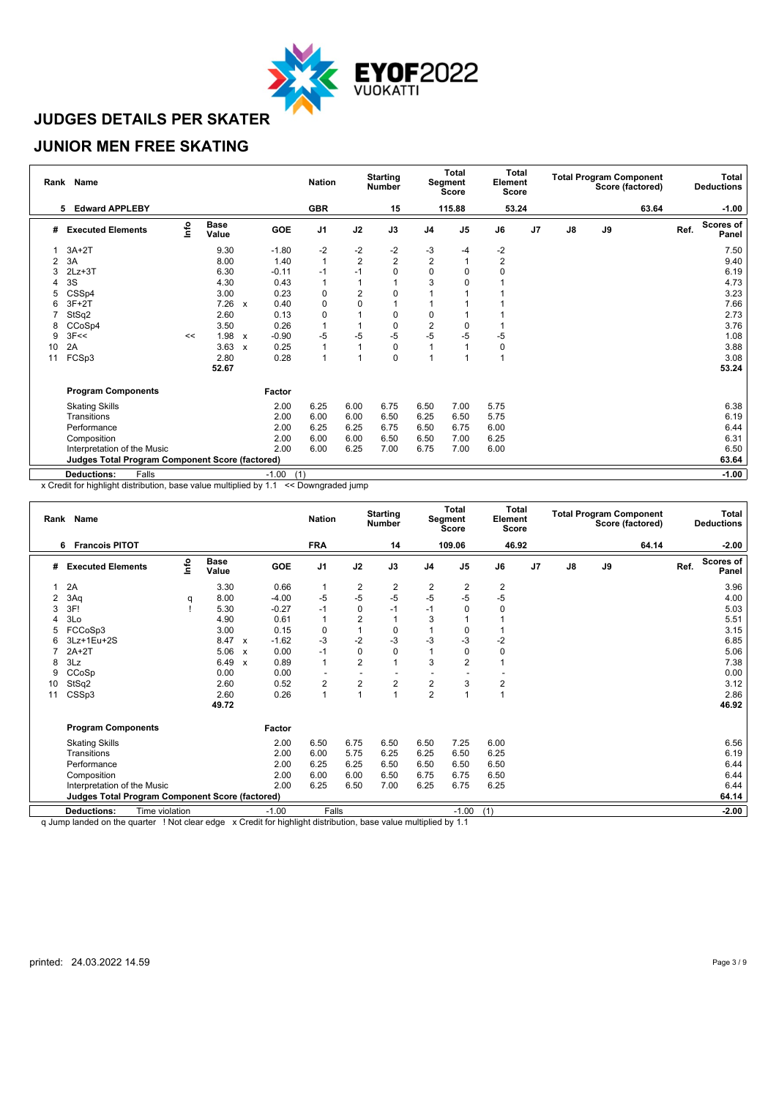

#### **JUNIOR MEN FREE SKATING**

|    | Rank Name                                              |      |                      |                           |                | <b>Nation</b>  |                | <b>Starting</b><br><b>Number</b> |                | <b>Total</b><br>Segment<br><b>Score</b> | <b>Total</b><br>Element<br><b>Score</b> |                |               |    | <b>Total Program Component</b><br>Score (factored) |      | Total<br><b>Deductions</b> |
|----|--------------------------------------------------------|------|----------------------|---------------------------|----------------|----------------|----------------|----------------------------------|----------------|-----------------------------------------|-----------------------------------------|----------------|---------------|----|----------------------------------------------------|------|----------------------------|
|    | <b>Edward APPLEBY</b><br>5                             |      |                      |                           |                | <b>GBR</b>     |                | 15                               |                | 115.88                                  | 53.24                                   |                |               |    | 63.64                                              |      | $-1.00$                    |
| #  | <b>Executed Elements</b>                               | lnfo | <b>Base</b><br>Value |                           | GOE            | J <sub>1</sub> | J2             | J3                               | J <sub>4</sub> | J <sub>5</sub>                          | J6                                      | J <sub>7</sub> | $\mathsf{J}8$ | J9 |                                                    | Ref. | <b>Scores of</b><br>Panel  |
|    | $3A+2T$                                                |      | 9.30                 |                           | $-1.80$        | $-2$           | $-2$           | $-2$                             | $-3$           | -4                                      | $-2$                                    |                |               |    |                                                    |      | 7.50                       |
| 2  | 3A                                                     |      | 8.00                 |                           | 1.40           | $\mathbf{1}$   | $\overline{2}$ | $\overline{2}$                   | $\overline{2}$ |                                         | $\overline{2}$                          |                |               |    |                                                    |      | 9.40                       |
| 3  | $2Lz + 3T$                                             |      | 6.30                 |                           | $-0.11$        | $-1$           | $-1$           | $\Omega$                         | 0              | $\Omega$                                | 0                                       |                |               |    |                                                    |      | 6.19                       |
|    | 3S                                                     |      | 4.30                 |                           | 0.43           | 1              |                |                                  | 3              |                                         |                                         |                |               |    |                                                    |      | 4.73                       |
| 5  | CSSp4                                                  |      | 3.00                 |                           | 0.23           | 0              | $\overline{2}$ | 0                                |                |                                         |                                         |                |               |    |                                                    |      | 3.23                       |
| 6  | $3F+2T$                                                |      | 7.26                 | $\mathsf{x}$              | 0.40           | 0              | $\mathbf 0$    |                                  |                |                                         |                                         |                |               |    |                                                    |      | 7.66                       |
|    | StSq2                                                  |      | 2.60                 |                           | 0.13           | 0              |                | 0                                | 0              |                                         |                                         |                |               |    |                                                    |      | 2.73                       |
| 8  | CCoSp4                                                 |      | 3.50                 |                           | 0.26           | $\overline{1}$ |                | 0                                | $\overline{2}$ | $\Omega$                                |                                         |                |               |    |                                                    |      | 3.76                       |
| 9  | 3F <                                                   | <<   | 1.98                 | $\boldsymbol{\mathsf{x}}$ | $-0.90$        | -5             | -5             | $-5$                             | $-5$           | -5                                      | -5                                      |                |               |    |                                                    |      | 1.08                       |
| 10 | 2A                                                     |      | 3.63                 | $\mathsf{x}$              | 0.25           | 1              |                | $\mathbf 0$                      | 1              |                                         | 0                                       |                |               |    |                                                    |      | 3.88                       |
| 11 | FCSp3                                                  |      | 2.80                 |                           | 0.28           | 1              |                | 0                                | $\overline{ }$ |                                         | 1                                       |                |               |    |                                                    |      | 3.08                       |
|    |                                                        |      | 52.67                |                           |                |                |                |                                  |                |                                         |                                         |                |               |    |                                                    |      | 53.24                      |
|    | <b>Program Components</b>                              |      |                      |                           | Factor         |                |                |                                  |                |                                         |                                         |                |               |    |                                                    |      |                            |
|    | <b>Skating Skills</b>                                  |      |                      |                           | 2.00           | 6.25           | 6.00           | 6.75                             | 6.50           | 7.00                                    | 5.75                                    |                |               |    |                                                    |      | 6.38                       |
|    | Transitions                                            |      |                      |                           | 2.00           | 6.00           | 6.00           | 6.50                             | 6.25           | 6.50                                    | 5.75                                    |                |               |    |                                                    |      | 6.19                       |
|    | Performance                                            |      |                      |                           | 2.00           | 6.25           | 6.25           | 6.75                             | 6.50           | 6.75                                    | 6.00                                    |                |               |    |                                                    |      | 6.44                       |
|    | Composition                                            |      |                      |                           | 2.00           | 6.00           | 6.00           | 6.50                             | 6.50           | 7.00                                    | 6.25                                    |                |               |    |                                                    |      | 6.31                       |
|    | Interpretation of the Music                            |      |                      |                           | 2.00           | 6.00           | 6.25           | 7.00                             | 6.75           | 7.00                                    | 6.00                                    |                |               |    |                                                    |      | 6.50                       |
|    | <b>Judges Total Program Component Score (factored)</b> |      |                      |                           |                |                |                |                                  |                |                                         |                                         |                |               |    |                                                    |      | 63.64                      |
|    | Falls<br><b>Deductions:</b>                            |      |                      |                           | (1)<br>$-1.00$ |                |                |                                  |                |                                         |                                         |                |               |    |                                                    |      | $-1.00$                    |

x Credit for highlight distribution, base value multiplied by 1.1 << Downgraded jump

|    | Rank Name                                       |      |                              |                                      | <b>Nation</b>  |                         | <b>Starting</b><br><b>Number</b> |                                    | <b>Total</b><br>Segment<br><b>Score</b> | Element<br>Score | Total |               |    | <b>Total Program Component</b><br>Score (factored) |      | Total<br><b>Deductions</b> |
|----|-------------------------------------------------|------|------------------------------|--------------------------------------|----------------|-------------------------|----------------------------------|------------------------------------|-----------------------------------------|------------------|-------|---------------|----|----------------------------------------------------|------|----------------------------|
|    | <b>Francois PITOT</b><br>6                      |      |                              |                                      | <b>FRA</b>     |                         | 14                               |                                    | 109.06                                  |                  | 46.92 |               |    | 64.14                                              |      | $-2.00$                    |
| #  | <b>Executed Elements</b>                        | Info | <b>Base</b><br>Value         | GOE                                  | J <sub>1</sub> | J2                      | J3                               | J <sub>4</sub>                     | J5                                      | J6               | J7    | $\mathsf{J}8$ | J9 |                                                    | Ref. | Scores of<br>Panel         |
|    | 2A                                              |      | 3.30                         | 0.66                                 | -1             | 2                       | 2                                | 2                                  | 2                                       | 2                |       |               |    |                                                    |      | 3.96                       |
|    | 3Aq                                             | q    | 8.00                         | $-4.00$                              | $-5$           | $-5$                    | $-5$                             | $-5$                               | $-5$                                    | $-5$             |       |               |    |                                                    |      | 4.00                       |
| 3  | 3F!                                             |      | 5.30                         | $-0.27$                              | $-1$           | $\mathbf 0$             | $-1$                             | $-1$                               | $\Omega$                                | 0                |       |               |    |                                                    |      | 5.03                       |
|    | 3Lo                                             |      | 4.90                         | 0.61                                 | $\overline{1}$ | $\overline{2}$          |                                  | 3                                  |                                         |                  |       |               |    |                                                    |      | 5.51                       |
| 5  | FCCoSp3                                         |      | 3.00                         | 0.15                                 | 0              |                         | 0                                |                                    | 0                                       |                  |       |               |    |                                                    |      | 3.15                       |
|    | 3Lz+1Eu+2S                                      |      | 8.47                         | $-1.62$<br>$\boldsymbol{\mathsf{x}}$ | $-3$           | $-2$                    | $-3$                             | -3                                 | $-3$                                    | $-2$             |       |               |    |                                                    |      | 6.85                       |
|    | $2A+2T$                                         |      | 5.06                         | 0.00<br>$\boldsymbol{\mathsf{x}}$    | $-1$           | $\mathbf 0$             | $\Omega$                         | 1                                  | 0                                       | 0                |       |               |    |                                                    |      | 5.06                       |
| 8  | 3Lz                                             |      | 6.49                         | 0.89<br>$\boldsymbol{\mathsf{x}}$    | $\overline{1}$ | $\overline{2}$          |                                  | 3                                  | $\overline{2}$                          |                  |       |               |    |                                                    |      | 7.38                       |
| 9  | CCoSp                                           |      | 0.00                         | 0.00                                 |                |                         |                                  |                                    |                                         |                  |       |               |    |                                                    |      | 0.00                       |
| 10 | StSq2                                           |      | 2.60                         | 0.52                                 | 2              | $\overline{\mathbf{c}}$ | 2                                | $\overline{2}$                     | 3                                       | 2                |       |               |    |                                                    |      | 3.12                       |
| 11 | CSSp3                                           |      | 2.60                         | 0.26                                 | $\overline{1}$ |                         |                                  | $\overline{2}$                     |                                         |                  |       |               |    |                                                    |      | 2.86                       |
|    |                                                 |      | 49.72                        |                                      |                |                         |                                  |                                    |                                         |                  |       |               |    |                                                    |      | 46.92                      |
|    | <b>Program Components</b>                       |      |                              | Factor                               |                |                         |                                  |                                    |                                         |                  |       |               |    |                                                    |      |                            |
|    | <b>Skating Skills</b>                           |      |                              | 2.00                                 | 6.50           | 6.75                    | 6.50                             | 6.50                               | 7.25                                    | 6.00             |       |               |    |                                                    |      | 6.56                       |
|    | Transitions                                     |      |                              | 2.00                                 | 6.00           | 5.75                    | 6.25                             | 6.25                               | 6.50                                    | 6.25             |       |               |    |                                                    |      | 6.19                       |
|    | Performance                                     |      |                              | 2.00                                 | 6.25           | 6.25                    | 6.50                             | 6.50                               | 6.50                                    | 6.50             |       |               |    |                                                    |      | 6.44                       |
|    | Composition                                     |      |                              | 2.00                                 | 6.00           | 6.00                    | 6.50                             | 6.75                               | 6.75                                    | 6.50             |       |               |    |                                                    |      | 6.44                       |
|    | Interpretation of the Music                     |      |                              | 2.00                                 | 6.25           | 6.50                    | 7.00                             | 6.25                               | 6.75                                    | 6.25             |       |               |    |                                                    |      | 6.44                       |
|    | Judges Total Program Component Score (factored) |      |                              |                                      |                |                         |                                  |                                    |                                         |                  |       |               |    |                                                    |      | 64.14                      |
|    | <b>Deductions:</b><br>Time violation            |      |                              | $-1.00$                              | Falls          |                         |                                  |                                    | $-1.00$                                 | (1)              |       |               |    |                                                    |      | $-2.00$                    |
|    |                                                 |      | and the contract of the con- | A BLACK FRIDA BLACK                  |                |                         |                                  | the property of the control of the |                                         |                  |       |               |    |                                                    |      |                            |

q Jump landed on the quarter ! Not clear edge x Credit for highlight distribution, base value multiplied by 1.1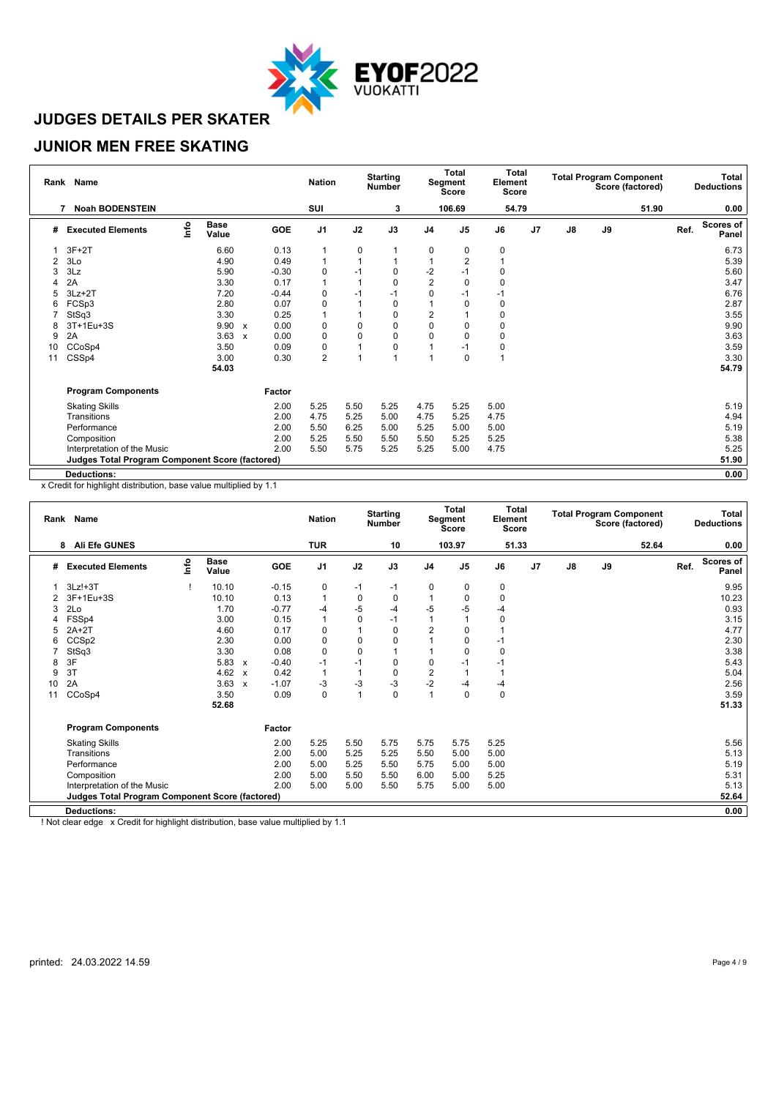

### **JUNIOR MEN FREE SKATING**

| Rank | <b>Name</b>                                            |      |                      |                           |         | <b>Nation</b>  |             | <b>Starting</b><br><b>Number</b> |                | Total<br>Segment<br><b>Score</b> | <b>Total</b><br>Element<br><b>Score</b> |    |               |    | <b>Total Program Component</b><br>Score (factored) |      | Total<br><b>Deductions</b> |
|------|--------------------------------------------------------|------|----------------------|---------------------------|---------|----------------|-------------|----------------------------------|----------------|----------------------------------|-----------------------------------------|----|---------------|----|----------------------------------------------------|------|----------------------------|
|      | <b>Noah BODENSTEIN</b>                                 |      |                      |                           |         | SUI            |             | 3                                |                | 106.69                           | 54.79                                   |    |               |    | 51.90                                              |      | 0.00                       |
| #    | <b>Executed Elements</b>                               | lnfo | <b>Base</b><br>Value |                           | GOE     | J <sub>1</sub> | J2          | J3                               | J <sub>4</sub> | J <sub>5</sub>                   | J6                                      | J7 | $\mathsf{J}8$ | J9 |                                                    | Ref. | Scores of<br>Panel         |
|      | $3F+2T$                                                |      | 6.60                 |                           | 0.13    |                | 0           |                                  | 0              | 0                                | 0                                       |    |               |    |                                                    |      | 6.73                       |
| 2    | 3Lo                                                    |      | 4.90                 |                           | 0.49    |                |             |                                  |                | $\overline{2}$                   |                                         |    |               |    |                                                    |      | 5.39                       |
|      | 3Lz                                                    |      | 5.90                 |                           | $-0.30$ | 0              | $-1$        | $\Omega$                         | $-2$           | $-1$                             | 0                                       |    |               |    |                                                    |      | 5.60                       |
|      | 2A                                                     |      | 3.30                 |                           | 0.17    |                |             | $\Omega$                         | $\overline{2}$ | $\mathbf 0$                      | 0                                       |    |               |    |                                                    |      | 3.47                       |
|      | $3Lz + 2T$                                             |      | 7.20                 |                           | $-0.44$ | 0              | $-1$        | $-1$                             | $\Omega$       | -1                               | $-1$                                    |    |               |    |                                                    |      | 6.76                       |
| 6    | FCSp3                                                  |      | 2.80                 |                           | 0.07    | 0              |             | 0                                |                | $\Omega$                         | 0                                       |    |               |    |                                                    |      | 2.87                       |
|      | StSq3                                                  |      | 3.30                 |                           | 0.25    |                |             | $\Omega$                         | $\overline{2}$ |                                  | 0                                       |    |               |    |                                                    |      | 3.55                       |
| 8    | 3T+1Eu+3S                                              |      | 9.90                 | $\boldsymbol{\mathsf{x}}$ | 0.00    | 0              | 0           | 0                                | 0              | $\Omega$                         | 0                                       |    |               |    |                                                    |      | 9.90                       |
| 9    | 2A                                                     |      | 3.63                 | $\boldsymbol{\mathsf{x}}$ | 0.00    | 0              | $\mathbf 0$ | 0                                | $\Omega$       | $\Omega$                         | 0                                       |    |               |    |                                                    |      | 3.63                       |
| 10   | CCoSp4                                                 |      | 3.50                 |                           | 0.09    | 0              |             | 0                                |                | -1                               | 0                                       |    |               |    |                                                    |      | 3.59                       |
| 11   | CSSp4                                                  |      | 3.00                 |                           | 0.30    | $\overline{c}$ |             |                                  |                | 0                                | 1                                       |    |               |    |                                                    |      | 3.30                       |
|      |                                                        |      | 54.03                |                           |         |                |             |                                  |                |                                  |                                         |    |               |    |                                                    |      | 54.79                      |
|      | <b>Program Components</b>                              |      |                      |                           | Factor  |                |             |                                  |                |                                  |                                         |    |               |    |                                                    |      |                            |
|      | <b>Skating Skills</b>                                  |      |                      |                           | 2.00    | 5.25           | 5.50        | 5.25                             | 4.75           | 5.25                             | 5.00                                    |    |               |    |                                                    |      | 5.19                       |
|      | Transitions                                            |      |                      |                           | 2.00    | 4.75           | 5.25        | 5.00                             | 4.75           | 5.25                             | 4.75                                    |    |               |    |                                                    |      | 4.94                       |
|      | Performance                                            |      |                      |                           | 2.00    | 5.50           | 6.25        | 5.00                             | 5.25           | 5.00                             | 5.00                                    |    |               |    |                                                    |      | 5.19                       |
|      | Composition                                            |      |                      |                           | 2.00    | 5.25           | 5.50        | 5.50                             | 5.50           | 5.25                             | 5.25                                    |    |               |    |                                                    |      | 5.38                       |
|      | Interpretation of the Music                            |      |                      |                           | 2.00    | 5.50           | 5.75        | 5.25                             | 5.25           | 5.00                             | 4.75                                    |    |               |    |                                                    |      | 5.25                       |
|      | <b>Judges Total Program Component Score (factored)</b> |      |                      |                           |         |                |             |                                  |                |                                  |                                         |    |               |    |                                                    |      | 51.90                      |
|      | <b>Deductions:</b>                                     |      |                      |                           |         |                |             |                                  |                |                                  |                                         |    |               |    |                                                    |      | 0.00                       |

x Credit for highlight distribution, base value multiplied by 1.1

| Rank | <b>Name</b>                                            |            |                      |                           |         | <b>Nation</b> |                          | <b>Starting</b><br><b>Number</b> |                | <b>Total</b><br>Segment<br><b>Score</b> | Total<br>Element<br><b>Score</b> |    |               | <b>Total Program Component</b> | Score (factored) |      | <b>Total</b><br><b>Deductions</b> |
|------|--------------------------------------------------------|------------|----------------------|---------------------------|---------|---------------|--------------------------|----------------------------------|----------------|-----------------------------------------|----------------------------------|----|---------------|--------------------------------|------------------|------|-----------------------------------|
|      | <b>Ali Efe GUNES</b><br>8                              |            |                      |                           |         | TUR           |                          | 10                               |                | 103.97                                  | 51.33                            |    |               |                                | 52.64            |      | 0.00                              |
| #    | <b>Executed Elements</b>                               | <u>nfo</u> | <b>Base</b><br>Value |                           | GOE     | J1            | J2                       | J3                               | J <sub>4</sub> | J <sub>5</sub>                          | J6                               | J7 | $\mathsf{J}8$ | J9                             |                  | Ref. | <b>Scores of</b><br>Panel         |
|      | $3Lz! + 3T$                                            |            | 10.10                |                           | $-0.15$ | 0             | $-1$                     | $-1$                             | 0              | 0                                       | 0                                |    |               |                                |                  |      | 9.95                              |
|      | 3F+1Eu+3S                                              |            | 10.10                |                           | 0.13    | $\mathbf{1}$  | $\mathbf 0$              | 0                                | 1              | $\Omega$                                | 0                                |    |               |                                |                  |      | 10.23                             |
| 3    | 2Lo                                                    |            | 1.70                 |                           | $-0.77$ | -4            | -5                       | $-4$                             | $-5$           | $-5$                                    | -4                               |    |               |                                |                  |      | 0.93                              |
| 4    | FSSp4                                                  |            | 3.00                 |                           | 0.15    | $\mathbf{1}$  | $\mathbf 0$              | $-1$                             | 1              |                                         | 0                                |    |               |                                |                  |      | 3.15                              |
| 5    | $2A+2T$                                                |            | 4.60                 |                           | 0.17    | 0             | 1                        | 0                                | $\overline{2}$ | 0                                       |                                  |    |               |                                |                  |      | 4.77                              |
| 6    | CCS <sub>p2</sub>                                      |            | 2.30                 |                           | 0.00    | 0             | 0                        | 0                                |                | $\Omega$                                | $-1$                             |    |               |                                |                  |      | 2.30                              |
|      | StSq3                                                  |            | 3.30                 |                           | 0.08    | 0             | 0                        |                                  |                | $\Omega$                                | 0                                |    |               |                                |                  |      | 3.38                              |
| 8    | 3F                                                     |            | 5.83                 | $\boldsymbol{\mathsf{x}}$ | $-0.40$ | $-1$          | $-1$                     | 0                                | $\mathbf 0$    | -1                                      | $-1$                             |    |               |                                |                  |      | 5.43                              |
| 9    | 3T                                                     |            | 4.62                 | $\mathbf{x}$              | 0.42    | $\mathbf{1}$  | $\overline{\phantom{a}}$ | $\mathbf 0$                      | $\overline{2}$ |                                         |                                  |    |               |                                |                  |      | 5.04                              |
| 10   | 2A                                                     |            | 3.63                 | $\mathsf{x}$              | $-1.07$ | -3            | -3                       | $-3$                             | $-2$           | -4                                      | $-4$                             |    |               |                                |                  |      | 2.56                              |
| 11   | CCoSp4                                                 |            | 3.50                 |                           | 0.09    | 0             | 1                        | $\mathbf 0$                      | $\mathbf{1}$   | $\mathbf 0$                             | 0                                |    |               |                                |                  |      | 3.59                              |
|      |                                                        |            | 52.68                |                           |         |               |                          |                                  |                |                                         |                                  |    |               |                                |                  |      | 51.33                             |
|      | <b>Program Components</b>                              |            |                      |                           | Factor  |               |                          |                                  |                |                                         |                                  |    |               |                                |                  |      |                                   |
|      | <b>Skating Skills</b>                                  |            |                      |                           | 2.00    | 5.25          | 5.50                     | 5.75                             | 5.75           | 5.75                                    | 5.25                             |    |               |                                |                  |      | 5.56                              |
|      | Transitions                                            |            |                      |                           | 2.00    | 5.00          | 5.25                     | 5.25                             | 5.50           | 5.00                                    | 5.00                             |    |               |                                |                  |      | 5.13                              |
|      | Performance                                            |            |                      |                           | 2.00    | 5.00          | 5.25                     | 5.50                             | 5.75           | 5.00                                    | 5.00                             |    |               |                                |                  |      | 5.19                              |
|      | Composition                                            |            |                      |                           | 2.00    | 5.00          | 5.50                     | 5.50                             | 6.00           | 5.00                                    | 5.25                             |    |               |                                |                  |      | 5.31                              |
|      | Interpretation of the Music                            |            |                      |                           | 2.00    | 5.00          | 5.00                     | 5.50                             | 5.75           | 5.00                                    | 5.00                             |    |               |                                |                  |      | 5.13                              |
|      | <b>Judges Total Program Component Score (factored)</b> |            |                      |                           |         |               |                          |                                  |                |                                         |                                  |    |               |                                |                  |      | 52.64                             |
|      | <b>Deductions:</b>                                     |            |                      |                           |         |               |                          |                                  |                |                                         |                                  |    |               |                                |                  |      | 0.00                              |
|      | .                                                      |            |                      |                           |         | $\sim$        |                          |                                  |                |                                         |                                  |    |               |                                |                  |      |                                   |

! Not clear edge x Credit for highlight distribution, base value multiplied by 1.1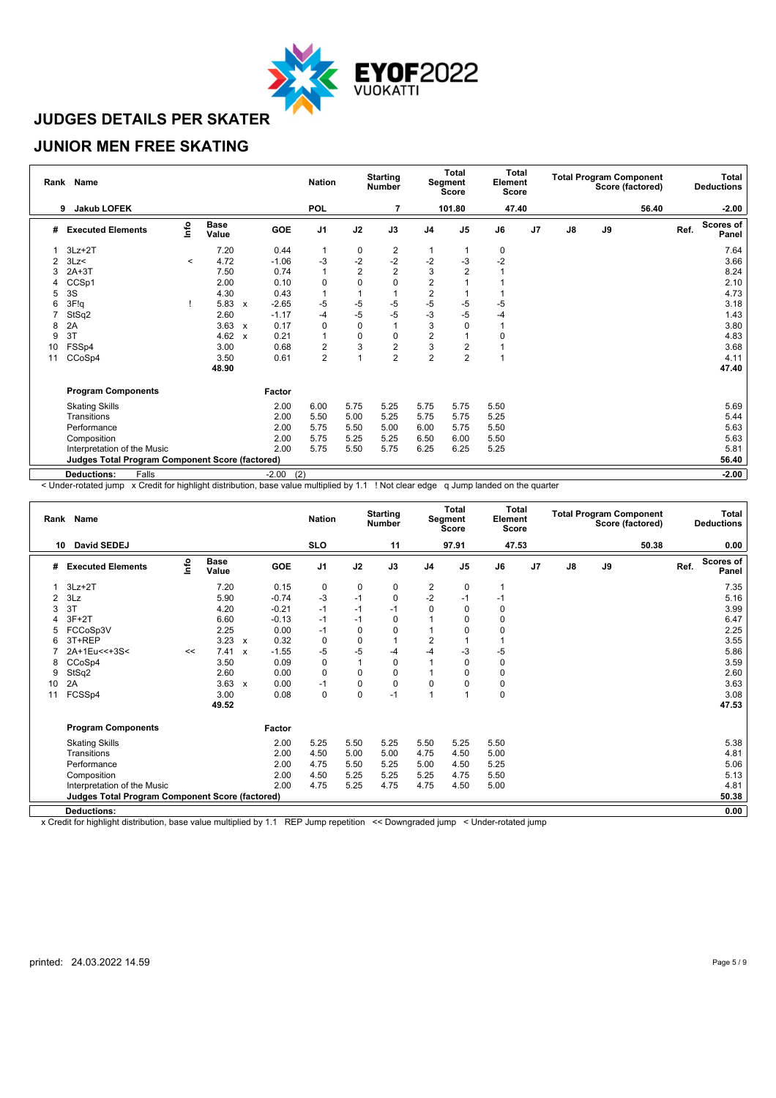

### **JUNIOR MEN FREE SKATING**

|    | Rank Name                                              |         |                      |                           |                | <b>Nation</b>  |                | <b>Starting</b><br>Number |                         | Total<br>Segment<br><b>Score</b> | <b>Total</b><br>Element<br>Score |                |                |    | <b>Total Program Component</b><br>Score (factored) |      | Total<br><b>Deductions</b> |
|----|--------------------------------------------------------|---------|----------------------|---------------------------|----------------|----------------|----------------|---------------------------|-------------------------|----------------------------------|----------------------------------|----------------|----------------|----|----------------------------------------------------|------|----------------------------|
|    | <b>Jakub LOFEK</b><br>9                                |         |                      |                           |                | <b>POL</b>     |                |                           |                         | 101.80                           | 47.40                            |                |                |    | 56.40                                              |      | $-2.00$                    |
| #  | <b>Executed Elements</b>                               | lnfo    | <b>Base</b><br>Value |                           | GOE            | J <sub>1</sub> | J2             | J3                        | J <sub>4</sub>          | J <sub>5</sub>                   | J6                               | J <sub>7</sub> | $\mathbf{J}$ 8 | J9 |                                                    | Ref. | <b>Scores of</b><br>Panel  |
|    | $3Lz + 2T$                                             |         | 7.20                 |                           | 0.44           | 1              | 0              | 2                         |                         |                                  | 0                                |                |                |    |                                                    |      | 7.64                       |
| 2  | 3Lz                                                    | $\,<\,$ | 4.72                 |                           | $-1.06$        | -3             | $-2$           | $-2$                      | $-2$                    | -3                               | $-2$                             |                |                |    |                                                    |      | 3.66                       |
|    | $2A+3T$                                                |         | 7.50                 |                           | 0.74           | 1              | $\overline{2}$ | $\overline{2}$            | 3                       | $\overline{2}$                   |                                  |                |                |    |                                                    |      | 8.24                       |
| 4  | CCSp1                                                  |         | 2.00                 |                           | 0.10           | 0              | 0              | 0                         | $\overline{2}$          |                                  |                                  |                |                |    |                                                    |      | 2.10                       |
| 5  | 3S                                                     |         | 4.30                 |                           | 0.43           |                |                |                           | $\overline{c}$          |                                  |                                  |                |                |    |                                                    |      | 4.73                       |
| 6  | 3F!q                                                   |         | 5.83                 | $\mathsf{x}$              | $-2.65$        | -5             | $-5$           | $-5$                      | $-5$                    | $-5$                             | -5                               |                |                |    |                                                    |      | 3.18                       |
|    | StSq2                                                  |         | 2.60                 |                           | $-1.17$        | $-4$           | -5             | $-5$                      | $-3$                    | $-5$                             | -4                               |                |                |    |                                                    |      | 1.43                       |
| 8  | 2A                                                     |         | 3.63                 | $\boldsymbol{\mathsf{x}}$ | 0.17           | 0              | $\mathbf 0$    |                           | 3                       | $\Omega$                         |                                  |                |                |    |                                                    |      | 3.80                       |
| 9  | 3T                                                     |         | 4.62                 | $\boldsymbol{\mathsf{x}}$ | 0.21           | 1              | $\pmb{0}$      | 0                         | $\overline{\mathbf{c}}$ |                                  | 0                                |                |                |    |                                                    |      | 4.83                       |
| 10 | FSSp4                                                  |         | 3.00                 |                           | 0.68           | 2              | 3              | $\overline{2}$            | 3                       | $\overline{2}$                   |                                  |                |                |    |                                                    |      | 3.68                       |
| 11 | CCoSp4                                                 |         | 3.50                 |                           | 0.61           | $\overline{c}$ | 1              | $\overline{2}$            | $\overline{2}$          | $\overline{2}$                   |                                  |                |                |    |                                                    |      | 4.11                       |
|    |                                                        |         | 48.90                |                           |                |                |                |                           |                         |                                  |                                  |                |                |    |                                                    |      | 47.40                      |
|    | <b>Program Components</b>                              |         |                      |                           | Factor         |                |                |                           |                         |                                  |                                  |                |                |    |                                                    |      |                            |
|    | <b>Skating Skills</b>                                  |         |                      |                           | 2.00           | 6.00           | 5.75           | 5.25                      | 5.75                    | 5.75                             | 5.50                             |                |                |    |                                                    |      | 5.69                       |
|    | Transitions                                            |         |                      |                           | 2.00           | 5.50           | 5.00           | 5.25                      | 5.75                    | 5.75                             | 5.25                             |                |                |    |                                                    |      | 5.44                       |
|    | Performance                                            |         |                      |                           | 2.00           | 5.75           | 5.50           | 5.00                      | 6.00                    | 5.75                             | 5.50                             |                |                |    |                                                    |      | 5.63                       |
|    | Composition                                            |         |                      |                           | 2.00           | 5.75           | 5.25           | 5.25                      | 6.50                    | 6.00                             | 5.50                             |                |                |    |                                                    |      | 5.63                       |
|    | Interpretation of the Music                            |         |                      |                           | 2.00           | 5.75           | 5.50           | 5.75                      | 6.25                    | 6.25                             | 5.25                             |                |                |    |                                                    |      | 5.81                       |
|    | <b>Judges Total Program Component Score (factored)</b> |         |                      |                           |                |                |                |                           |                         |                                  |                                  |                |                |    |                                                    |      | 56.40                      |
|    | <b>Deductions:</b><br>Falls                            |         |                      |                           | (2)<br>$-2.00$ |                |                |                           |                         |                                  |                                  |                |                |    |                                                    |      | $-2.00$                    |

< Under-rotated jump x Credit for highlight distribution, base value multiplied by 1.1 ! Not clear edge q Jump landed on the quarter

|    | Rank Name                                              |                                  |                      |                           |         | <b>Nation</b>  |             | <b>Starting</b><br><b>Number</b> |                         | Total<br>Segment<br><b>Score</b> | Total<br>Element<br><b>Score</b> |                |               |    | <b>Total Program Component</b><br>Score (factored) |      | Total<br><b>Deductions</b> |
|----|--------------------------------------------------------|----------------------------------|----------------------|---------------------------|---------|----------------|-------------|----------------------------------|-------------------------|----------------------------------|----------------------------------|----------------|---------------|----|----------------------------------------------------|------|----------------------------|
| 10 | David SEDEJ                                            |                                  |                      |                           |         | <b>SLO</b>     |             | 11                               |                         | 97.91                            | 47.53                            |                |               |    | 50.38                                              |      | 0.00                       |
| #  | <b>Executed Elements</b>                               | $\mathop{\mathsf{Irr}}\nolimits$ | <b>Base</b><br>Value |                           | GOE     | J <sub>1</sub> | J2          | J3                               | J <sub>4</sub>          | J <sub>5</sub>                   | J6                               | J <sub>7</sub> | $\mathsf{J}8$ | J9 |                                                    | Ref. | <b>Scores of</b><br>Panel  |
|    | $3Lz + 2T$                                             |                                  | 7.20                 |                           | 0.15    | 0              | 0           | 0                                | $\overline{2}$          | 0                                | 1                                |                |               |    |                                                    |      | 7.35                       |
|    | 3Lz                                                    |                                  | 5.90                 |                           | $-0.74$ | -3             | $-1$        | 0                                | $-2$                    | $-1$                             | $-1$                             |                |               |    |                                                    |      | 5.16                       |
| 3  | 3T                                                     |                                  | 4.20                 |                           | $-0.21$ | $-1$           | $-1$        | $-1$                             | $\Omega$                | 0                                | 0                                |                |               |    |                                                    |      | 3.99                       |
|    | $3F+2T$                                                |                                  | 6.60                 |                           | $-0.13$ | $-1$           | $-1$        | 0                                |                         | $\Omega$                         | 0                                |                |               |    |                                                    |      | 6.47                       |
|    | FCCoSp3V                                               |                                  | 2.25                 |                           | 0.00    | $-1$           | 0           | 0                                |                         | $\Omega$                         | 0                                |                |               |    |                                                    |      | 2.25                       |
| 6  | 3T+REP                                                 |                                  | 3.23                 | $\boldsymbol{\mathsf{x}}$ | 0.32    | 0              | $\mathbf 0$ |                                  | $\overline{2}$          |                                  |                                  |                |               |    |                                                    |      | 3.55                       |
|    | 2A+1Eu<<+3S<                                           | <<                               | 7.41                 | $\boldsymbol{x}$          | $-1.55$ | -5             | $-5$        | $-4$                             | -4                      | $-3$                             | $-5$                             |                |               |    |                                                    |      | 5.86                       |
| 8  | CCoSp4                                                 |                                  | 3.50                 |                           | 0.09    | 0              | 1           | $\mathbf 0$                      |                         | $\Omega$                         | 0                                |                |               |    |                                                    |      | 3.59                       |
| 9  | StSq2                                                  |                                  | 2.60                 |                           | 0.00    | 0              | $\mathbf 0$ | 0                                |                         | 0                                | 0                                |                |               |    |                                                    |      | 2.60                       |
| 10 | 2A                                                     |                                  | 3.63                 | $\mathsf{x}$              | 0.00    | $-1$           | $\pmb{0}$   | $\mathbf 0$                      | $\Omega$                | $\Omega$                         | 0                                |                |               |    |                                                    |      | 3.63                       |
| 11 | FCSSp4                                                 |                                  | 3.00                 |                           | 0.08    | 0              | $\mathbf 0$ | $-1$                             | $\overline{\mathbf{A}}$ |                                  | 0                                |                |               |    |                                                    |      | 3.08                       |
|    |                                                        |                                  | 49.52                |                           |         |                |             |                                  |                         |                                  |                                  |                |               |    |                                                    |      | 47.53                      |
|    | <b>Program Components</b>                              |                                  |                      |                           | Factor  |                |             |                                  |                         |                                  |                                  |                |               |    |                                                    |      |                            |
|    | <b>Skating Skills</b>                                  |                                  |                      |                           | 2.00    | 5.25           | 5.50        | 5.25                             | 5.50                    | 5.25                             | 5.50                             |                |               |    |                                                    |      | 5.38                       |
|    | Transitions                                            |                                  |                      |                           | 2.00    | 4.50           | 5.00        | 5.00                             | 4.75                    | 4.50                             | 5.00                             |                |               |    |                                                    |      | 4.81                       |
|    | Performance                                            |                                  |                      |                           | 2.00    | 4.75           | 5.50        | 5.25                             | 5.00                    | 4.50                             | 5.25                             |                |               |    |                                                    |      | 5.06                       |
|    | Composition                                            |                                  |                      |                           | 2.00    | 4.50           | 5.25        | 5.25                             | 5.25                    | 4.75                             | 5.50                             |                |               |    |                                                    |      | 5.13                       |
|    | Interpretation of the Music                            |                                  |                      |                           | 2.00    | 4.75           | 5.25        | 4.75                             | 4.75                    | 4.50                             | 5.00                             |                |               |    |                                                    |      | 4.81                       |
|    | <b>Judges Total Program Component Score (factored)</b> |                                  |                      |                           |         |                |             |                                  |                         |                                  |                                  |                |               |    |                                                    |      | 50.38                      |
|    | <b>Deductions:</b>                                     |                                  |                      |                           |         |                |             |                                  |                         |                                  |                                  |                |               |    |                                                    |      | 0.00                       |
|    |                                                        |                                  |                      |                           |         |                |             |                                  |                         |                                  |                                  |                |               |    |                                                    |      |                            |

x Credit for highlight distribution, base value multiplied by 1.1 REP Jump repetition << Downgraded jump < Under-rotated jump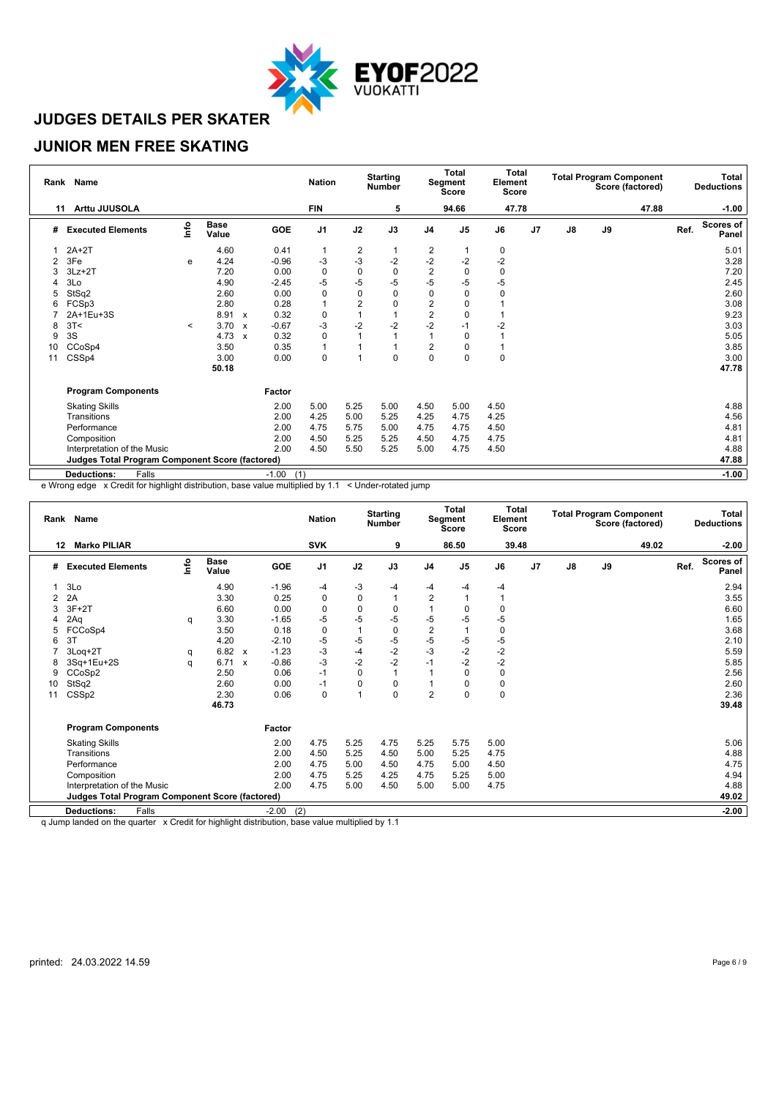

### **JUNIOR MEN FREE SKATING**

|    | Rank Name                                              |         |                      |              |                | <b>Nation</b>  |                | <b>Starting</b><br><b>Number</b> |                | Total<br>Segment<br><b>Score</b> | <b>Total</b><br>Element<br><b>Score</b> |    |               |    | <b>Total Program Component</b><br>Score (factored) |      | Total<br><b>Deductions</b> |
|----|--------------------------------------------------------|---------|----------------------|--------------|----------------|----------------|----------------|----------------------------------|----------------|----------------------------------|-----------------------------------------|----|---------------|----|----------------------------------------------------|------|----------------------------|
| 11 | Arttu JUUSOLA                                          |         |                      |              |                | <b>FIN</b>     |                | 5                                |                | 94.66                            | 47.78                                   |    |               |    | 47.88                                              |      | $-1.00$                    |
| #  | <b>Executed Elements</b>                               | Info    | <b>Base</b><br>Value |              | GOE            | J <sub>1</sub> | J2             | J3                               | J <sub>4</sub> | J <sub>5</sub>                   | J6                                      | J7 | $\mathsf{J}8$ | J9 |                                                    | Ref. | <b>Scores of</b><br>Panel  |
|    | $2A+2T$                                                |         | 4.60                 |              | 0.41           | $\mathbf{1}$   | $\frac{2}{3}$  |                                  | 2              |                                  | 0                                       |    |               |    |                                                    |      | 5.01                       |
| 2  | 3Fe                                                    | e       | 4.24                 |              | $-0.96$        | -3             |                | $-2$                             | $-2$           | $-2$                             | $-2$                                    |    |               |    |                                                    |      | 3.28                       |
|    | $3Lz + 2T$                                             |         | 7.20                 |              | 0.00           | 0              | $\mathbf 0$    | 0                                | $\overline{2}$ | $\Omega$                         | 0                                       |    |               |    |                                                    |      | 7.20                       |
| 4  | 3Lo                                                    |         | 4.90                 |              | $-2.45$        | $-5$           | -5             | $-5$                             | $-5$           | -5                               | $-5$                                    |    |               |    |                                                    |      | 2.45                       |
| 5  | StSq2                                                  |         | 2.60                 |              | 0.00           | $\mathbf 0$    | $\mathbf 0$    | $\mathbf 0$                      | $\mathbf 0$    | $\Omega$                         | 0                                       |    |               |    |                                                    |      | 2.60                       |
| 6  | FCSp3                                                  |         | 2.80                 |              | 0.28           | $\mathbf{1}$   | $\overline{2}$ | 0                                | $\overline{2}$ | 0                                |                                         |    |               |    |                                                    |      | 3.08                       |
|    | 2A+1Eu+3S                                              |         | 8.91                 | $\mathbf{x}$ | 0.32           | 0              |                |                                  | $\overline{c}$ | $\Omega$                         |                                         |    |               |    |                                                    |      | 9.23                       |
| 8  | 3T<                                                    | $\,<\,$ | 3.70                 | $\mathsf{x}$ | $-0.67$        | $-3$           | $-2$           | $-2$                             | $-2$           | $-1$                             | $-2$                                    |    |               |    |                                                    |      | 3.03                       |
| 9  | 3S                                                     |         | 4.73                 | $\mathsf{x}$ | 0.32           | 0              |                |                                  | 1              | 0                                |                                         |    |               |    |                                                    |      | 5.05                       |
| 10 | CCoSp4                                                 |         | 3.50                 |              | 0.35           | 1              |                |                                  | $\overline{2}$ | O                                |                                         |    |               |    |                                                    |      | 3.85                       |
| 11 | CSSp4                                                  |         | 3.00                 |              | 0.00           | 0              |                | 0                                | $\mathbf 0$    | 0                                | 0                                       |    |               |    |                                                    |      | 3.00                       |
|    |                                                        |         | 50.18                |              |                |                |                |                                  |                |                                  |                                         |    |               |    |                                                    |      | 47.78                      |
|    | <b>Program Components</b>                              |         |                      |              | Factor         |                |                |                                  |                |                                  |                                         |    |               |    |                                                    |      |                            |
|    | <b>Skating Skills</b>                                  |         |                      |              | 2.00           | 5.00           | 5.25           | 5.00                             | 4.50           | 5.00                             | 4.50                                    |    |               |    |                                                    |      | 4.88                       |
|    | Transitions                                            |         |                      |              | 2.00           | 4.25           | 5.00           | 5.25                             | 4.25           | 4.75                             | 4.25                                    |    |               |    |                                                    |      | 4.56                       |
|    | Performance                                            |         |                      |              | 2.00           | 4.75           | 5.75           | 5.00                             | 4.75           | 4.75                             | 4.50                                    |    |               |    |                                                    |      | 4.81                       |
|    | Composition                                            |         |                      |              | 2.00           | 4.50           | 5.25           | 5.25                             | 4.50           | 4.75                             | 4.75                                    |    |               |    |                                                    |      | 4.81                       |
|    | Interpretation of the Music                            |         |                      |              | 2.00           | 4.50           | 5.50           | 5.25                             | 5.00           | 4.75                             | 4.50                                    |    |               |    |                                                    |      | 4.88                       |
|    | <b>Judges Total Program Component Score (factored)</b> |         |                      |              |                |                |                |                                  |                |                                  |                                         |    |               |    |                                                    |      | 47.88                      |
|    | <b>Deductions:</b><br>Falls                            |         |                      |              | (1)<br>$-1.00$ |                |                |                                  |                |                                  |                                         |    |               |    |                                                    |      | $-1.00$                    |

e Wrong edge x Credit for highlight distribution, base value multiplied by 1.1 < Under-rotated jump

|    | Rank Name                                       |      |                      |                           |                | <b>Nation</b>  |             | <b>Starting</b><br><b>Number</b> |                | Total<br>Segment<br><b>Score</b> | Total<br>Element<br><b>Score</b> |    |               |    | <b>Total Program Component</b><br>Score (factored) |      | Total<br><b>Deductions</b> |
|----|-------------------------------------------------|------|----------------------|---------------------------|----------------|----------------|-------------|----------------------------------|----------------|----------------------------------|----------------------------------|----|---------------|----|----------------------------------------------------|------|----------------------------|
| 12 | <b>Marko PILIAR</b>                             |      |                      |                           |                | <b>SVK</b>     |             | 9                                |                | 86.50                            | 39.48                            |    |               |    | 49.02                                              |      | $-2.00$                    |
| #  | <b>Executed Elements</b>                        | ١nfo | <b>Base</b><br>Value |                           | <b>GOE</b>     | J <sub>1</sub> | J2          | J3                               | J <sub>4</sub> | J <sub>5</sub>                   | J6                               | J7 | $\mathsf{J}8$ | J9 |                                                    | Ref. | <b>Scores of</b><br>Panel  |
|    | 3Lo                                             |      | 4.90                 |                           | $-1.96$        | -4             | -3          | $-4$                             | $-4$           | -4                               | -4                               |    |               |    |                                                    |      | 2.94                       |
|    | 2A                                              |      | 3.30                 |                           | 0.25           | $\mathbf 0$    | $\mathbf 0$ |                                  | $\overline{2}$ |                                  |                                  |    |               |    |                                                    |      | 3.55                       |
| 3  | $3F+2T$                                         |      | 6.60                 |                           | 0.00           | $\mathbf 0$    | $\mathbf 0$ | $\mathbf 0$                      |                | $\Omega$                         | 0                                |    |               |    |                                                    |      | 6.60                       |
|    | 2Aq                                             | q    | 3.30                 |                           | $-1.65$        | $-5$           | $-5$        | $-5$                             | $-5$           | $-5$                             | -5                               |    |               |    |                                                    |      | 1.65                       |
|    | FCCoSp4                                         |      | 3.50                 |                           | 0.18           | $\mathbf 0$    | 1           | $\pmb{0}$                        | $\overline{c}$ |                                  | 0                                |    |               |    |                                                    |      | 3.68                       |
| 6  | 3T                                              |      | 4.20                 |                           | $-2.10$        | $-5$           | $-5$        | $-5$                             | $-5$           | $-5$                             | $-5$                             |    |               |    |                                                    |      | 2.10                       |
|    | 3Loq+2T                                         | q    | 6.82                 | $\boldsymbol{\mathsf{x}}$ | $-1.23$        | $-3$           | $-4$        | $-2$                             | $-3$           | $-2$                             | $-2$                             |    |               |    |                                                    |      | 5.59                       |
| 8  | 3Sq+1Eu+2S                                      | q    | 6.71                 | $\boldsymbol{\mathsf{x}}$ | $-0.86$        | $-3$           | $-2$        | $-2$                             | $-1$           | $-2$                             | $-2$                             |    |               |    |                                                    |      | 5.85                       |
| 9  | CCoSp2                                          |      | 2.50                 |                           | 0.06           | $-1$           | $\mathbf 0$ | $\overline{1}$                   |                | $\Omega$                         | 0                                |    |               |    |                                                    |      | 2.56                       |
| 10 | StSq2                                           |      | 2.60                 |                           | 0.00           | $-1$           | 0           | 0                                |                | $\Omega$                         | 0                                |    |               |    |                                                    |      | 2.60                       |
| 11 | CSS <sub>p2</sub>                               |      | 2.30                 |                           | 0.06           | 0              | 1           | $\Omega$                         | $\overline{2}$ | $\Omega$                         | 0                                |    |               |    |                                                    |      | 2.36                       |
|    |                                                 |      | 46.73                |                           |                |                |             |                                  |                |                                  |                                  |    |               |    |                                                    |      | 39.48                      |
|    | <b>Program Components</b>                       |      |                      |                           | Factor         |                |             |                                  |                |                                  |                                  |    |               |    |                                                    |      |                            |
|    | <b>Skating Skills</b>                           |      |                      |                           | 2.00           | 4.75           | 5.25        | 4.75                             | 5.25           | 5.75                             | 5.00                             |    |               |    |                                                    |      | 5.06                       |
|    | Transitions                                     |      |                      |                           | 2.00           | 4.50           | 5.25        | 4.50                             | 5.00           | 5.25                             | 4.75                             |    |               |    |                                                    |      | 4.88                       |
|    | Performance                                     |      |                      |                           | 2.00           | 4.75           | 5.00        | 4.50                             | 4.75           | 5.00                             | 4.50                             |    |               |    |                                                    |      | 4.75                       |
|    | Composition                                     |      |                      |                           | 2.00           | 4.75           | 5.25        | 4.25                             | 4.75           | 5.25                             | 5.00                             |    |               |    |                                                    |      | 4.94                       |
|    | Interpretation of the Music                     |      |                      |                           | 2.00           | 4.75           | 5.00        | 4.50                             | 5.00           | 5.00                             | 4.75                             |    |               |    |                                                    |      | 4.88                       |
|    | Judges Total Program Component Score (factored) |      |                      |                           |                |                |             |                                  |                |                                  |                                  |    |               |    |                                                    |      | 49.02                      |
|    | Falls<br><b>Deductions:</b>                     |      |                      |                           | $-2.00$<br>(2) |                |             |                                  |                |                                  |                                  |    |               |    |                                                    |      | $-2.00$                    |

q Jump landed on the quarter x Credit for highlight distribution, base value multiplied by 1.1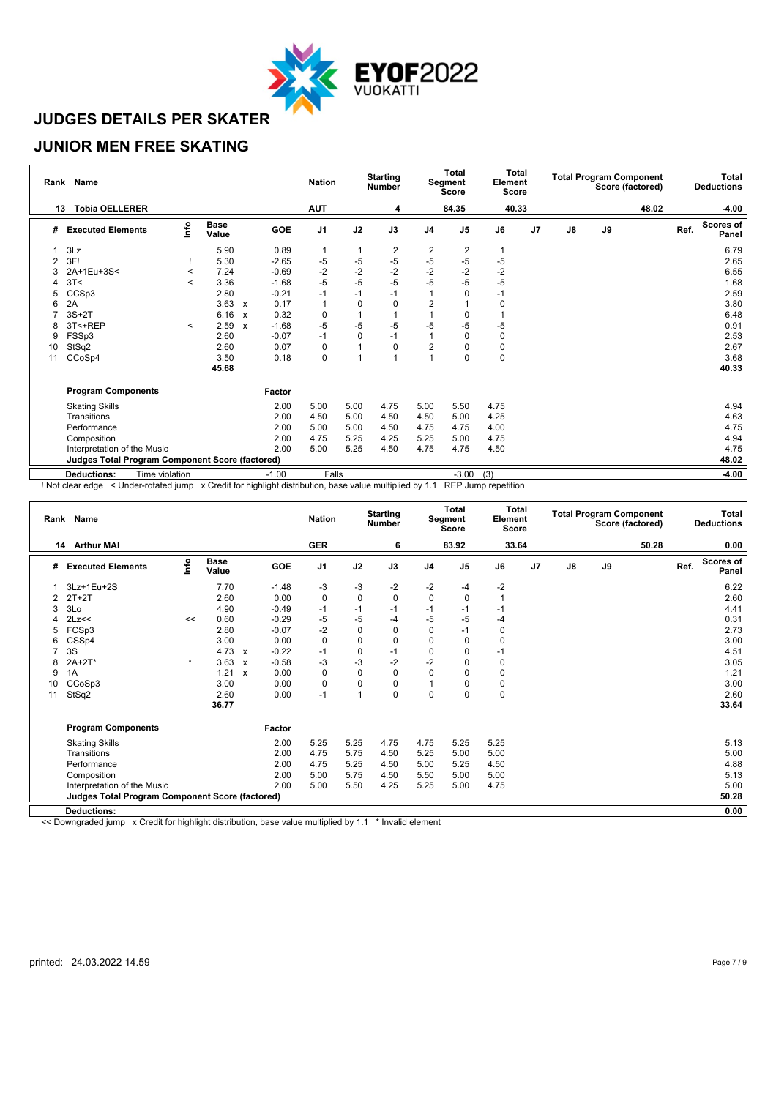

### **JUNIOR MEN FREE SKATING**

|    | Rank Name                                              |         |                      |                           |         |                |             | Total<br><b>Starting</b><br>Segment<br><b>Number</b><br><b>Score</b> |                | Total<br>Element<br><b>Score</b> |       | <b>Total Program Component</b><br>Score (factored) |               |    | <b>Total</b><br><b>Deductions</b> |      |                           |
|----|--------------------------------------------------------|---------|----------------------|---------------------------|---------|----------------|-------------|----------------------------------------------------------------------|----------------|----------------------------------|-------|----------------------------------------------------|---------------|----|-----------------------------------|------|---------------------------|
| 13 | <b>Tobia OELLERER</b>                                  |         |                      |                           |         | <b>AUT</b>     |             | 4                                                                    |                | 84.35                            | 40.33 |                                                    |               |    | 48.02                             |      | -4.00                     |
| #  | <b>Executed Elements</b>                               | Info    | <b>Base</b><br>Value |                           | GOE     | J <sub>1</sub> | J2          | J3                                                                   | J <sub>4</sub> | J <sub>5</sub>                   | J6    | J7                                                 | $\mathsf{J}8$ | J9 |                                   | Ref. | <b>Scores of</b><br>Panel |
|    | 3Lz                                                    |         | 5.90                 |                           | 0.89    | $\mathbf{1}$   | 1           | 2                                                                    | 2              | 2                                |       |                                                    |               |    |                                   |      | 6.79                      |
| 2  | 3F!                                                    |         | 5.30                 |                           | $-2.65$ | -5             | $-5$        | $-5$                                                                 | $-5$           | $-5$                             | -5    |                                                    |               |    |                                   |      | 2.65                      |
|    | 2A+1Eu+3S<                                             | $\prec$ | 7.24                 |                           | $-0.69$ | $-2$           | $-2$        | $-2$                                                                 | $-2$           | $-2$                             | $-2$  |                                                    |               |    |                                   |      | 6.55                      |
|    | 3T<                                                    | $\,<$   | 3.36                 |                           | $-1.68$ | $-5$           | -5          | $-5$                                                                 | -5             | -5                               | $-5$  |                                                    |               |    |                                   |      | 1.68                      |
| 5  | CCSp3                                                  |         | 2.80                 |                           | $-0.21$ | $-1$           | $-1$        | $-1$                                                                 |                | O                                | $-1$  |                                                    |               |    |                                   |      | 2.59                      |
| 6  | 2A                                                     |         | 3.63                 | $\boldsymbol{\mathsf{x}}$ | 0.17    | $\mathbf{1}$   | $\mathbf 0$ | 0                                                                    | 2              |                                  | 0     |                                                    |               |    |                                   |      | 3.80                      |
|    | $3S+2T$                                                |         | 6.16                 | $\boldsymbol{\mathsf{x}}$ | 0.32    | 0              |             |                                                                      |                | 0                                |       |                                                    |               |    |                                   |      | 6.48                      |
| 8  | 3T<+REP                                                | $\,<$   | 2.59                 | X                         | $-1.68$ | -5             | -5          | $-5$                                                                 | -5             | -5                               | $-5$  |                                                    |               |    |                                   |      | 0.91                      |
| 9  | FSSp3                                                  |         | 2.60                 |                           | $-0.07$ | $-1$           | $\mathbf 0$ | $-1$                                                                 | 1              | 0                                | 0     |                                                    |               |    |                                   |      | 2.53                      |
| 10 | StSq2                                                  |         | 2.60                 |                           | 0.07    | 0              |             | $\Omega$                                                             | $\overline{2}$ |                                  | 0     |                                                    |               |    |                                   |      | 2.67                      |
| 11 | CCoSp4                                                 |         | 3.50                 |                           | 0.18    | 0              |             |                                                                      | $\overline{ }$ | $\Omega$                         | 0     |                                                    |               |    |                                   |      | 3.68                      |
|    |                                                        |         | 45.68                |                           |         |                |             |                                                                      |                |                                  |       |                                                    |               |    |                                   |      | 40.33                     |
|    | <b>Program Components</b>                              |         |                      |                           | Factor  |                |             |                                                                      |                |                                  |       |                                                    |               |    |                                   |      |                           |
|    | <b>Skating Skills</b>                                  |         |                      |                           | 2.00    | 5.00           | 5.00        | 4.75                                                                 | 5.00           | 5.50                             | 4.75  |                                                    |               |    |                                   |      | 4.94                      |
|    | Transitions                                            |         |                      |                           | 2.00    | 4.50           | 5.00        | 4.50                                                                 | 4.50           | 5.00                             | 4.25  |                                                    |               |    |                                   |      | 4.63                      |
|    | Performance                                            |         |                      |                           | 2.00    | 5.00           | 5.00        | 4.50                                                                 | 4.75           | 4.75                             | 4.00  |                                                    |               |    |                                   |      | 4.75                      |
|    | Composition                                            |         |                      |                           | 2.00    | 4.75           | 5.25        | 4.25                                                                 | 5.25           | 5.00                             | 4.75  |                                                    |               |    |                                   |      | 4.94                      |
|    | Interpretation of the Music                            |         |                      |                           | 2.00    | 5.00           | 5.25        | 4.50                                                                 | 4.75           | 4.75                             | 4.50  |                                                    |               |    |                                   |      | 4.75                      |
|    | <b>Judges Total Program Component Score (factored)</b> |         |                      |                           |         |                |             |                                                                      |                |                                  |       |                                                    |               |    |                                   |      | 48.02                     |
|    | Time violation<br><b>Deductions:</b>                   |         |                      |                           | $-1.00$ | Falls          |             |                                                                      |                | $-3.00$                          | (3)   |                                                    |               |    |                                   |      | $-4.00$                   |

! Not clear edge < Under-rotated jump x Credit for highlight distribution, base value multiplied by 1.1 REP Jump repetition

|    | Rank Name                                              |         |                      |                           |         | <b>Nation</b>  |             | <b>Starting</b><br><b>Number</b> |                | Total<br><b>Segment</b><br><b>Score</b> | <b>Total</b><br>Element<br><b>Score</b> |    |               |    | <b>Total Program Component</b><br>Score (factored) |      | Total<br><b>Deductions</b> |
|----|--------------------------------------------------------|---------|----------------------|---------------------------|---------|----------------|-------------|----------------------------------|----------------|-----------------------------------------|-----------------------------------------|----|---------------|----|----------------------------------------------------|------|----------------------------|
|    | 14 Arthur MAI                                          |         |                      |                           |         | <b>GER</b>     |             | 6                                |                | 83.92                                   | 33.64                                   |    |               |    | 50.28                                              |      | 0.00                       |
| #  | <b>Executed Elements</b>                               | lnfo    | <b>Base</b><br>Value |                           | GOE     | J <sub>1</sub> | J2          | J3                               | J <sub>4</sub> | J <sub>5</sub>                          | J6                                      | J7 | $\mathsf{J}8$ | J9 |                                                    | Ref. | <b>Scores of</b><br>Panel  |
|    | 3Lz+1Eu+2S                                             |         | 7.70                 |                           | $-1.48$ | $-3$           | $-3$        | $-2$                             | $-2$           | -4                                      | $-2$                                    |    |               |    |                                                    |      | 6.22                       |
|    | $2T+2T$                                                |         | 2.60                 |                           | 0.00    | 0              | $\mathbf 0$ | $\mathbf 0$                      | $\mathbf 0$    | $\mathbf 0$                             | 1                                       |    |               |    |                                                    |      | 2.60                       |
| 3  | 3Lo                                                    |         | 4.90                 |                           | $-0.49$ | $-1$           | $-1$        | $-1$                             | -1             | $-1$                                    | $-1$                                    |    |               |    |                                                    |      | 4.41                       |
|    | 2Lz<<                                                  | <<      | 0.60                 |                           | $-0.29$ | $-5$           | $-5$        | $-4$                             | $-5$           | $-5$                                    | -4                                      |    |               |    |                                                    |      | 0.31                       |
|    | FCSp3                                                  |         | 2.80                 |                           | $-0.07$ | $-2$           | $\pmb{0}$   | 0                                | 0              | $-1$                                    | 0                                       |    |               |    |                                                    |      | 2.73                       |
| 6  | CSSp4                                                  |         | 3.00                 |                           | 0.00    | 0              | $\Omega$    | $\mathbf 0$                      | $\mathbf 0$    | $\Omega$                                | 0                                       |    |               |    |                                                    |      | 3.00                       |
|    | 3S                                                     |         | 4.73                 | $\boldsymbol{\mathsf{x}}$ | $-0.22$ | $-1$           | $\pmb{0}$   | $-1$                             | 0              | 0                                       | $-1$                                    |    |               |    |                                                    |      | 4.51                       |
|    | $2A+2T*$                                               | $\star$ | 3.63                 | $\boldsymbol{\mathsf{x}}$ | $-0.58$ | $-3$           | $-3$        | $-2$                             | $-2$           | $\Omega$                                | $\mathbf 0$                             |    |               |    |                                                    |      | 3.05                       |
| 9  | 1A                                                     |         | 1.21                 | $\mathbf{x}$              | 0.00    | 0              | $\mathbf 0$ | 0                                | $\mathbf 0$    | $\Omega$                                | 0                                       |    |               |    |                                                    |      | 1.21                       |
| 10 | CCoSp3                                                 |         | 3.00                 |                           | 0.00    | 0              | $\mathbf 0$ | 0                                |                | $\Omega$                                | 0                                       |    |               |    |                                                    |      | 3.00                       |
| 11 | StSq2                                                  |         | 2.60                 |                           | 0.00    | $-1$           | 1           | $\mathbf 0$                      | $\mathbf 0$    | $\Omega$                                | 0                                       |    |               |    |                                                    |      | 2.60                       |
|    |                                                        |         | 36.77                |                           |         |                |             |                                  |                |                                         |                                         |    |               |    |                                                    |      | 33.64                      |
|    | <b>Program Components</b>                              |         |                      |                           | Factor  |                |             |                                  |                |                                         |                                         |    |               |    |                                                    |      |                            |
|    | <b>Skating Skills</b>                                  |         |                      |                           | 2.00    | 5.25           | 5.25        | 4.75                             | 4.75           | 5.25                                    | 5.25                                    |    |               |    |                                                    |      | 5.13                       |
|    | Transitions                                            |         |                      |                           | 2.00    | 4.75           | 5.75        | 4.50                             | 5.25           | 5.00                                    | 5.00                                    |    |               |    |                                                    |      | 5.00                       |
|    | Performance                                            |         |                      |                           | 2.00    | 4.75           | 5.25        | 4.50                             | 5.00           | 5.25                                    | 4.50                                    |    |               |    |                                                    |      | 4.88                       |
|    | Composition                                            |         |                      |                           | 2.00    | 5.00           | 5.75        | 4.50                             | 5.50           | 5.00                                    | 5.00                                    |    |               |    |                                                    |      | 5.13                       |
|    | Interpretation of the Music                            |         |                      |                           | 2.00    | 5.00           | 5.50        | 4.25                             | 5.25           | 5.00                                    | 4.75                                    |    |               |    |                                                    |      | 5.00                       |
|    | <b>Judges Total Program Component Score (factored)</b> |         |                      |                           |         |                |             |                                  |                |                                         |                                         |    |               |    |                                                    |      | 50.28                      |
|    | <b>Deductions:</b>                                     |         |                      |                           |         |                |             |                                  |                |                                         |                                         |    |               |    |                                                    |      | 0.00                       |
|    |                                                        |         |                      |                           |         |                |             |                                  |                |                                         |                                         |    |               |    |                                                    |      |                            |

<< Downgraded jump x Credit for highlight distribution, base value multiplied by 1.1 \* Invalid element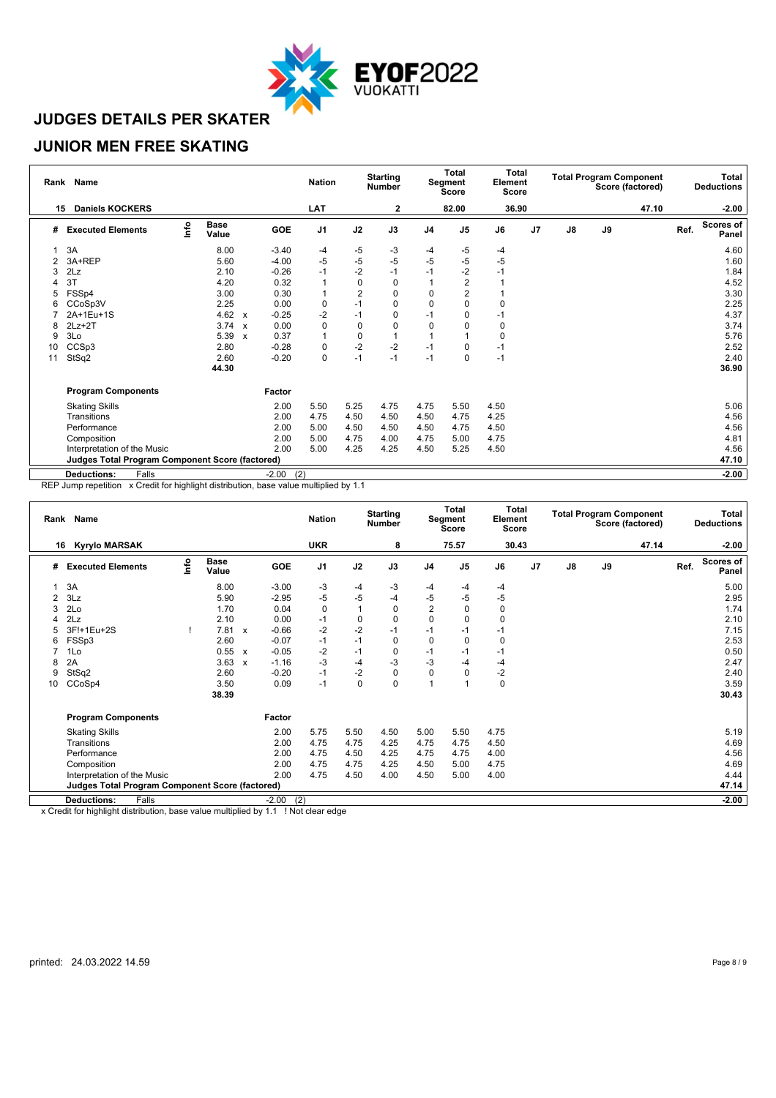

### **JUNIOR MEN FREE SKATING**

|    | Rank Name                                       |      |                      |                           |                |                |                |      | Total<br>Segment<br><b>Score</b> |                | Total<br>Element<br>Score |                | <b>Total Program Component</b><br>Score (factored) |    |       |      | Total<br><b>Deductions</b> |
|----|-------------------------------------------------|------|----------------------|---------------------------|----------------|----------------|----------------|------|----------------------------------|----------------|---------------------------|----------------|----------------------------------------------------|----|-------|------|----------------------------|
| 15 | <b>Daniels KOCKERS</b>                          |      |                      |                           |                | <b>LAT</b>     |                | 2    |                                  | 82.00          | 36.90                     |                |                                                    |    | 47.10 |      | $-2.00$                    |
| #  | <b>Executed Elements</b>                        | lnfo | <b>Base</b><br>Value |                           | GOE            | J <sub>1</sub> | J2             | J3   | J <sub>4</sub>                   | J <sub>5</sub> | J6                        | J <sub>7</sub> | $\mathsf{J}8$                                      | J9 |       | Ref. | <b>Scores of</b><br>Panel  |
|    | 3A                                              |      | 8.00                 |                           | $-3.40$        | -4             | -5             | -3   | -4                               | -5             | -4                        |                |                                                    |    |       |      | 4.60                       |
| 2  | 3A+REP                                          |      | 5.60                 |                           | $-4.00$        | $-5$           | $-5$           | $-5$ | $-5$                             | $-5$           | $-5$                      |                |                                                    |    |       |      | 1.60                       |
| 3  | 2Lz                                             |      | 2.10                 |                           | $-0.26$        | $-1$           | $-2$           | $-1$ | $-1$                             | $-2$           | $-1$                      |                |                                                    |    |       |      | 1.84                       |
|    | 3T                                              |      | 4.20                 |                           | 0.32           | $\mathbf{1}$   | $\mathbf 0$    | 0    |                                  | $\overline{2}$ |                           |                |                                                    |    |       |      | 4.52                       |
| 5  | FSSp4                                           |      | 3.00                 |                           | 0.30           | 1              | $\overline{2}$ | 0    | 0                                |                |                           |                |                                                    |    |       |      | 3.30                       |
| 6  | CCoSp3V                                         |      | 2.25                 |                           | 0.00           | 0              | $-1$           | 0    | 0                                | 0              | 0                         |                |                                                    |    |       |      | 2.25                       |
|    | 2A+1Eu+1S                                       |      | 4.62 $\times$        |                           | $-0.25$        | $-2$           | $-1$           | 0    | $-1$                             | O              | $-1$                      |                |                                                    |    |       |      | 4.37                       |
| 8  | $2Lz + 2T$                                      |      | 3.74                 | $\boldsymbol{\mathsf{x}}$ | 0.00           | 0              | $\mathbf 0$    | 0    | 0                                |                | 0                         |                |                                                    |    |       |      | 3.74                       |
| 9  | 3Lo                                             |      | 5.39                 | $\boldsymbol{\mathsf{x}}$ | 0.37           | 1              | $\mathbf 0$    |      |                                  |                | 0                         |                |                                                    |    |       |      | 5.76                       |
| 10 | CCSp3                                           |      | 2.80                 |                           | $-0.28$        | 0              | $-2$           | $-2$ | $-1$                             |                | -1                        |                |                                                    |    |       |      | 2.52                       |
| 11 | StSq2                                           |      | 2.60                 |                           | $-0.20$        | 0              | $-1$           | $-1$ | $-1$                             | $\Omega$       | $-1$                      |                |                                                    |    |       |      | 2.40                       |
|    |                                                 |      | 44.30                |                           |                |                |                |      |                                  |                |                           |                |                                                    |    |       |      | 36.90                      |
|    | <b>Program Components</b>                       |      |                      |                           | Factor         |                |                |      |                                  |                |                           |                |                                                    |    |       |      |                            |
|    | <b>Skating Skills</b>                           |      |                      |                           | 2.00           | 5.50           | 5.25           | 4.75 | 4.75                             | 5.50           | 4.50                      |                |                                                    |    |       |      | 5.06                       |
|    | Transitions                                     |      |                      |                           | 2.00           | 4.75           | 4.50           | 4.50 | 4.50                             | 4.75           | 4.25                      |                |                                                    |    |       |      | 4.56                       |
|    | Performance                                     |      |                      |                           | 2.00           | 5.00           | 4.50           | 4.50 | 4.50                             | 4.75           | 4.50                      |                |                                                    |    |       |      | 4.56                       |
|    | Composition                                     |      |                      |                           | 2.00           | 5.00           | 4.75           | 4.00 | 4.75                             | 5.00           | 4.75                      |                |                                                    |    |       |      | 4.81                       |
|    | Interpretation of the Music                     |      |                      |                           | 2.00           | 5.00           | 4.25           | 4.25 | 4.50                             | 5.25           | 4.50                      |                |                                                    |    |       |      | 4.56                       |
|    | Judges Total Program Component Score (factored) |      |                      |                           |                |                |                |      |                                  |                |                           |                |                                                    |    |       |      | 47.10                      |
|    | Falls<br><b>Deductions:</b>                     |      |                      |                           | (2)<br>$-2.00$ |                |                |      |                                  |                |                           |                |                                                    |    |       |      | $-2.00$                    |

REP Jump repetition x Credit for highlight distribution, base value multiplied by 1.1

| Rank Name |                                                        |      |                      |                           |            | <b>Nation</b>  | <b>Starting</b><br><b>Number</b> |             |                | Total<br>Segment<br><b>Score</b> |       | <b>Total</b><br>Element<br><b>Score</b> |               | <b>Total Program Component</b><br>Score (factored) | Total<br><b>Deductions</b> |      |                           |
|-----------|--------------------------------------------------------|------|----------------------|---------------------------|------------|----------------|----------------------------------|-------------|----------------|----------------------------------|-------|-----------------------------------------|---------------|----------------------------------------------------|----------------------------|------|---------------------------|
| 16        | <b>Kyrylo MARSAK</b>                                   |      |                      |                           |            | <b>UKR</b>     |                                  | 8           |                | 75.57                            | 30.43 |                                         |               |                                                    | 47.14                      |      | $-2.00$                   |
| #         | <b>Executed Elements</b>                               | lnfo | <b>Base</b><br>Value |                           | <b>GOE</b> | J <sub>1</sub> | J2                               | J3          | J <sub>4</sub> | J <sub>5</sub>                   | J6    | J <sub>7</sub>                          | $\mathsf{J}8$ | J9                                                 |                            | Ref. | <b>Scores of</b><br>Panel |
|           | 3A                                                     |      | 8.00                 |                           | $-3.00$    | -3             | -4                               | $-3$        | -4             | -4                               | -4    |                                         |               |                                                    |                            |      | 5.00                      |
| 2         | 3Lz                                                    |      | 5.90                 |                           | $-2.95$    | $-5$           | $-5$                             | $-4$        | $-5$           | $-5$                             | $-5$  |                                         |               |                                                    |                            |      | 2.95                      |
| 3         | 2Lo                                                    |      | 1.70                 |                           | 0.04       | $\mathbf 0$    | 1                                | $\mathbf 0$ | $\overline{2}$ | 0                                | 0     |                                         |               |                                                    |                            |      | 1.74                      |
|           | 2Lz                                                    |      | 2.10                 |                           | 0.00       | $-1$           | 0                                | 0           | $\mathbf 0$    | $\Omega$                         | 0     |                                         |               |                                                    |                            |      | 2.10                      |
|           | 3F!+1Eu+2S                                             |      | 7.81                 | $\boldsymbol{\mathsf{x}}$ | $-0.66$    | $-2$           | $-2$                             | $-1$        | $-1$           | -1                               | $-1$  |                                         |               |                                                    |                            |      | 7.15                      |
| 6         | FSSp3                                                  |      | 2.60                 |                           | $-0.07$    | $-1$           | $-1$                             | 0           | $\mathbf 0$    | $\Omega$                         | 0     |                                         |               |                                                    |                            |      | 2.53                      |
|           | 1Lo                                                    |      | 0.55                 | $\mathsf{x}$              | $-0.05$    | $-2$           | $-1$                             | 0           | $-1$           | -1                               | $-1$  |                                         |               |                                                    |                            |      | 0.50                      |
| 8         | 2A                                                     |      | 3.63                 | $\mathbf{x}$              | $-1.16$    | $-3$           | $-4$                             | $-3$        | $-3$           | $-4$                             | $-4$  |                                         |               |                                                    |                            |      | 2.47                      |
| 9         | StSq2                                                  |      | 2.60                 |                           | $-0.20$    | $-1$           | $-2$                             | $\mathbf 0$ | $\mathbf 0$    | $\Omega$                         | $-2$  |                                         |               |                                                    |                            |      | 2.40                      |
| 10        | CCoSp4                                                 |      | 3.50                 |                           | 0.09       | $-1$           | 0                                | $\Omega$    |                |                                  | 0     |                                         |               |                                                    |                            |      | 3.59                      |
|           |                                                        |      | 38.39                |                           |            |                |                                  |             |                |                                  |       |                                         |               |                                                    |                            |      | 30.43                     |
|           | <b>Program Components</b>                              |      |                      |                           | Factor     |                |                                  |             |                |                                  |       |                                         |               |                                                    |                            |      |                           |
|           | <b>Skating Skills</b>                                  |      |                      |                           | 2.00       | 5.75           | 5.50                             | 4.50        | 5.00           | 5.50                             | 4.75  |                                         |               |                                                    |                            |      | 5.19                      |
|           | Transitions                                            |      |                      |                           | 2.00       | 4.75           | 4.75                             | 4.25        | 4.75           | 4.75                             | 4.50  |                                         |               |                                                    |                            |      | 4.69                      |
|           | Performance                                            |      |                      |                           | 2.00       | 4.75           | 4.50                             | 4.25        | 4.75           | 4.75                             | 4.00  |                                         |               |                                                    |                            |      | 4.56                      |
|           | Composition                                            |      |                      |                           | 2.00       | 4.75           | 4.75                             | 4.25        | 4.50           | 5.00                             | 4.75  |                                         |               |                                                    |                            |      | 4.69                      |
|           | Interpretation of the Music                            |      |                      |                           | 2.00       | 4.75           | 4.50                             | 4.00        | 4.50           | 5.00                             | 4.00  |                                         |               |                                                    |                            |      | 4.44                      |
|           | <b>Judges Total Program Component Score (factored)</b> |      |                      |                           |            |                |                                  |             |                |                                  |       |                                         |               |                                                    |                            |      | 47.14                     |
|           | Falls<br><b>Deductions:</b>                            |      |                      |                           | $-2.00$    | (2)            |                                  |             |                |                                  |       |                                         |               |                                                    |                            |      | $-2.00$                   |
|           |                                                        |      |                      |                           |            |                |                                  |             |                |                                  |       |                                         |               |                                                    |                            |      |                           |

x Credit for highlight distribution, base value multiplied by 1.1 ! Not clear edge